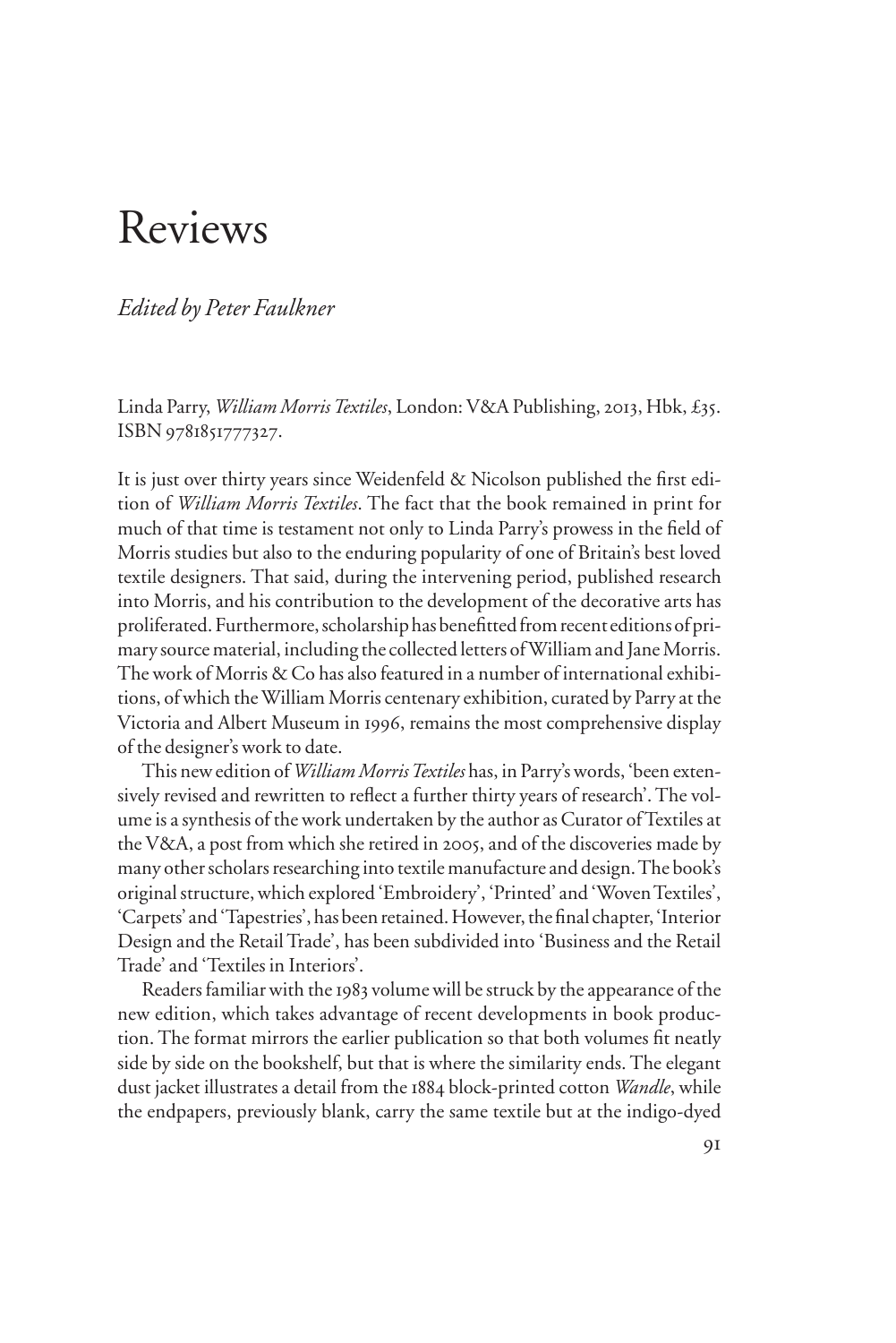# Reviews

# *Edited by Peter Faulkner*

Linda Parry, *William Morris Textiles*, London: V&A Publishing, 2013, Hbk, £35. ISBN 9781851777327.

It is just over thirty years since Weidenfeld & Nicolson published the first edition of *William Morris Textiles*. The fact that the book remained in print for much of that time is testament not only to Linda Parry's prowess in the field of Morris studies but also to the enduring popularity of one of Britain's best loved textile designers. That said, during the intervening period, published research into Morris, and his contribution to the development of the decorative arts has proliferated. Furthermore, scholarship has benefitted from recent editions of primary source material, including the collected letters of William and Jane Morris. The work of Morris & Co has also featured in a number of international exhibitions, of which the William Morris centenary exhibition, curated by Parry at the Victoria and Albert Museum in 1996, remains the most comprehensive display of the designer's work to date.

This new edition of *William Morris Textiles* has, in Parry's words, 'been extensively revised and rewritten to reflect a further thirty years of research'. The volume is a synthesis of the work undertaken by the author as Curator of Textiles at the V&A, a post from which she retired in 2005, and of the discoveries made by many other scholars researching into textile manufacture and design. The book's original structure, which explored 'Embroidery', 'Printed' and 'Woven Textiles', 'Carpets' and 'Tapestries', has been retained. However, the final chapter, 'Interior Design and the Retail Trade', has been subdivided into 'Business and the Retail Trade' and 'Textiles in Interiors'.

Readers familiar with the 1983 volume will be struck by the appearance of the new edition, which takes advantage of recent developments in book production. The format mirrors the earlier publication so that both volumes fit neatly side by side on the bookshelf, but that is where the similarity ends. The elegant dust jacket illustrates a detail from the 1884 block-printed cotton *Wandle*, while the endpapers, previously blank, carry the same textile but at the indigo-dyed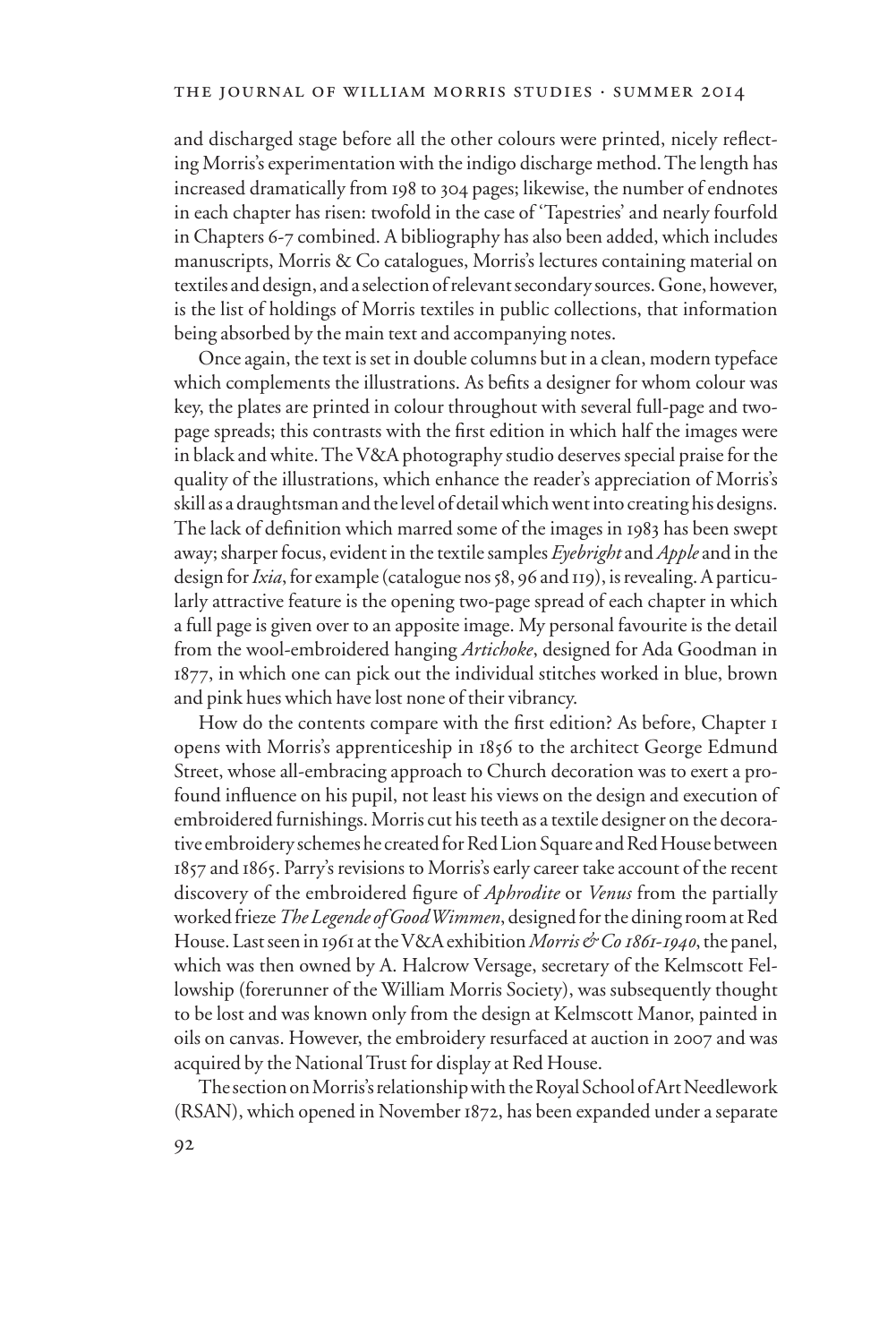and discharged stage before all the other colours were printed, nicely reflecting Morris's experimentation with the indigo discharge method. The length has increased dramatically from 198 to 304 pages; likewise, the number of endnotes in each chapter has risen: twofold in the case of 'Tapestries' and nearly fourfold in Chapters 6-7 combined. A bibliography has also been added, which includes manuscripts, Morris & Co catalogues, Morris's lectures containing material on textiles and design, and a selection of relevant secondary sources. Gone, however, is the list of holdings of Morris textiles in public collections, that information being absorbed by the main text and accompanying notes.

Once again, the text is set in double columns but in a clean, modern typeface which complements the illustrations. As befits a designer for whom colour was key, the plates are printed in colour throughout with several full-page and twopage spreads; this contrasts with the first edition in which half the images were in black and white. The V&A photography studio deserves special praise for the quality of the illustrations, which enhance the reader's appreciation of Morris's skill as a draughtsman and the level of detail which went into creating his designs. The lack of definition which marred some of the images in 1983 has been swept away; sharper focus, evident in the textile samples *Eyebright* and *Apple* and in the design for *Ixia*, for example (catalogue nos 58, 96 and 119), is revealing. A particularly attractive feature is the opening two-page spread of each chapter in which a full page is given over to an apposite image. My personal favourite is the detail from the wool-embroidered hanging *Artichoke*, designed for Ada Goodman in 1877, in which one can pick out the individual stitches worked in blue, brown and pink hues which have lost none of their vibrancy.

How do the contents compare with the first edition? As before, Chapter 1 opens with Morris's apprenticeship in 1856 to the architect George Edmund Street, whose all-embracing approach to Church decoration was to exert a profound influence on his pupil, not least his views on the design and execution of embroidered furnishings. Morris cut his teeth as a textile designer on the decorative embroidery schemes he created for Red Lion Square and Red House between 1857 and 1865. Parry's revisions to Morris's early career take account of the recent discovery of the embroidered figure of *Aphrodite* or *Venus* from the partially worked frieze *The Legende of Good Wimmen*, designed for the dining room at Red House. Last seen in 1961 at the V&A exhibition *Morris & Co 1861-1940*, the panel, which was then owned by A. Halcrow Versage, secretary of the Kelmscott Fellowship (forerunner of the William Morris Society), was subsequently thought to be lost and was known only from the design at Kelmscott Manor, painted in oils on canvas. However, the embroidery resurfaced at auction in 2007 and was acquired by the National Trust for display at Red House.

The section on Morris's relationship with the Royal School of Art Needlework (RSAN), which opened in November 1872, has been expanded under a separate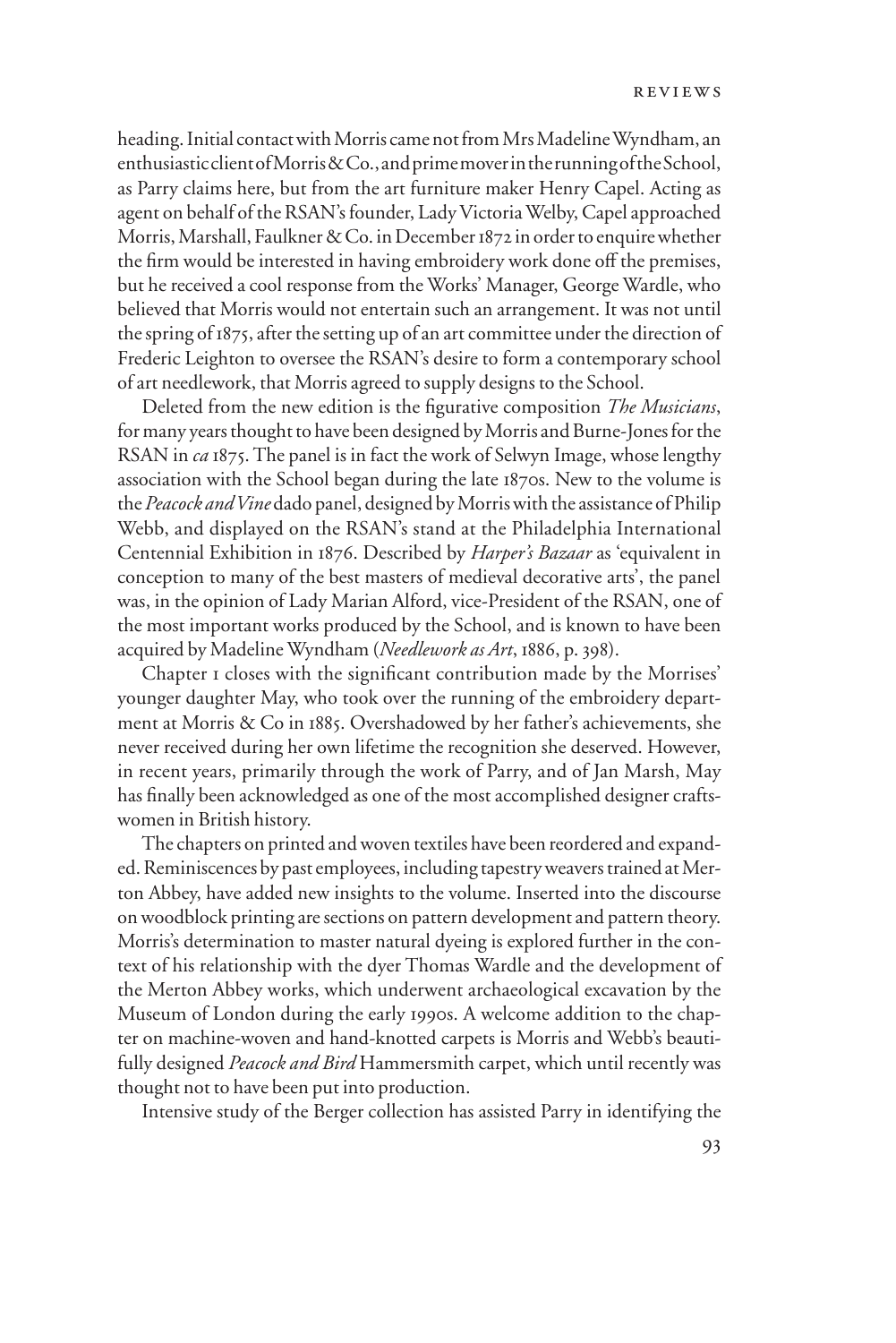heading. Initial contact with Morris came not from Mrs Madeline Wyndham, an enthusiastic client of Morris & Co., and prime mover in the running of the School, as Parry claims here, but from the art furniture maker Henry Capel. Acting as agent on behalf of the RSAN's founder, Lady Victoria Welby, Capel approached Morris, Marshall, Faulkner & Co. in December 1872 in order to enquire whether the firm would be interested in having embroidery work done off the premises, but he received a cool response from the Works' Manager, George Wardle, who believed that Morris would not entertain such an arrangement. It was not until the spring of 1875, after the setting up of an art committee under the direction of Frederic Leighton to oversee the RSAN's desire to form a contemporary school of art needlework, that Morris agreed to supply designs to the School.

Deleted from the new edition is the figurative composition *The Musicians*, for many years thought to have been designed by Morris and Burne-Jones for the RSAN in *ca* 1875. The panel is in fact the work of Selwyn Image, whose lengthy association with the School began during the late 1870s. New to the volume is the *Peacock and Vine* dado panel, designed by Morris with the assistance of Philip Webb, and displayed on the RSAN's stand at the Philadelphia International Centennial Exhibition in 1876. Described by *Harper's Bazaar* as 'equivalent in conception to many of the best masters of medieval decorative arts', the panel was, in the opinion of Lady Marian Alford, vice-President of the RSAN, one of the most important works produced by the School, and is known to have been acquired by Madeline Wyndham (*Needlework as Art*, 1886, p. 398).

Chapter I closes with the significant contribution made by the Morrises' younger daughter May, who took over the running of the embroidery department at Morris & Co in 1885. Overshadowed by her father's achievements, she never received during her own lifetime the recognition she deserved. However, in recent years, primarily through the work of Parry, and of Jan Marsh, May has finally been acknowledged as one of the most accomplished designer craftswomen in British history.

The chapters on printed and woven textiles have been reordered and expanded. Reminiscences by past employees, including tapestry weavers trained at Merton Abbey, have added new insights to the volume. Inserted into the discourse on woodblock printing are sections on pattern development and pattern theory. Morris's determination to master natural dyeing is explored further in the context of his relationship with the dyer Thomas Wardle and the development of the Merton Abbey works, which underwent archaeological excavation by the Museum of London during the early 1990s. A welcome addition to the chapter on machine-woven and hand-knotted carpets is Morris and Webb's beautifully designed *Peacock and Bird* Hammersmith carpet, which until recently was thought not to have been put into production.

Intensive study of the Berger collection has assisted Parry in identifying the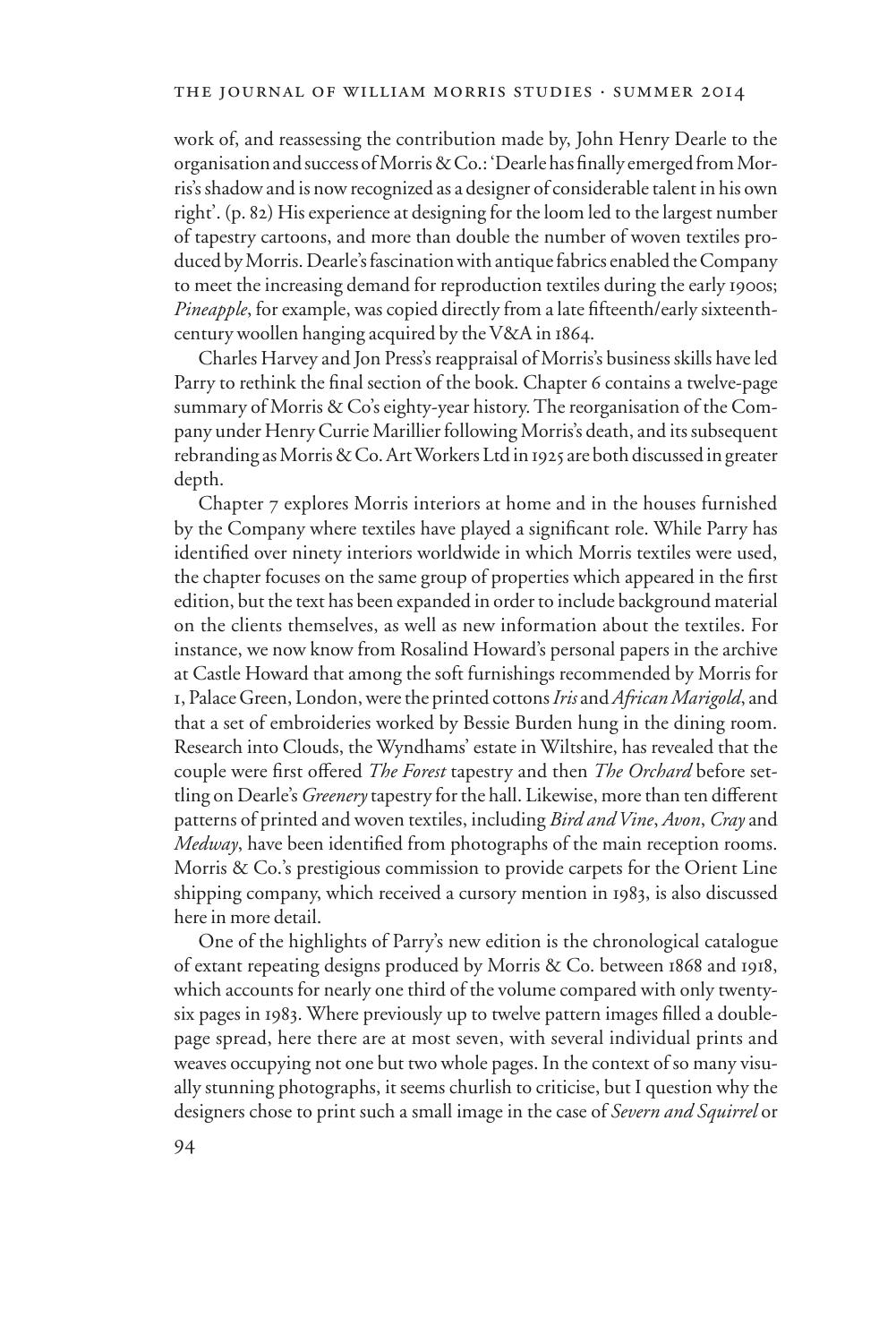work of, and reassessing the contribution made by, John Henry Dearle to the organisation and success of Morris & Co.: 'Dearle has finally emerged from Morris's shadow and is now recognized as a designer of considerable talent in his own right'. (p. 82) His experience at designing for the loom led to the largest number of tapestry cartoons, and more than double the number of woven textiles produced by Morris. Dearle's fascination with antique fabrics enabled the Company to meet the increasing demand for reproduction textiles during the early 1900s; *Pineapple*, for example, was copied directly from a late fifteenth/early sixteenthcentury woollen hanging acquired by the V&A in 1864.

Charles Harvey and Jon Press's reappraisal of Morris's business skills have led Parry to rethink the final section of the book. Chapter 6 contains a twelve-page summary of Morris & Co's eighty-year history. The reorganisation of the Company under Henry Currie Marillier following Morris's death, and its subsequent rebranding as Morris & Co. Art Workers Ltd in 1925 are both discussed in greater depth.

Chapter 7 explores Morris interiors at home and in the houses furnished by the Company where textiles have played a significant role. While Parry has identified over ninety interiors worldwide in which Morris textiles were used, the chapter focuses on the same group of properties which appeared in the first edition, but the text has been expanded in order to include background material on the clients themselves, as well as new information about the textiles. For instance, we now know from Rosalind Howard's personal papers in the archive at Castle Howard that among the soft furnishings recommended by Morris for 1, Palace Green, London, were the printed cottons *Iris* and *African Marigold*, and that a set of embroideries worked by Bessie Burden hung in the dining room. Research into Clouds, the Wyndhams' estate in Wiltshire, has revealed that the couple were first offered *The Forest* tapestry and then *The Orchard* before settling on Dearle's *Greenery* tapestry for the hall. Likewise, more than ten different patterns of printed and woven textiles, including *Bird and Vine*, *Avon*, *Cray* and *Medway*, have been identified from photographs of the main reception rooms. Morris & Co.'s prestigious commission to provide carpets for the Orient Line shipping company, which received a cursory mention in 1983, is also discussed here in more detail.

One of the highlights of Parry's new edition is the chronological catalogue of extant repeating designs produced by Morris & Co. between 1868 and 1918, which accounts for nearly one third of the volume compared with only twentysix pages in 1983. Where previously up to twelve pattern images filled a doublepage spread, here there are at most seven, with several individual prints and weaves occupying not one but two whole pages. In the context of so many visually stunning photographs, it seems churlish to criticise, but I question why the designers chose to print such a small image in the case of *Severn and Squirrel* or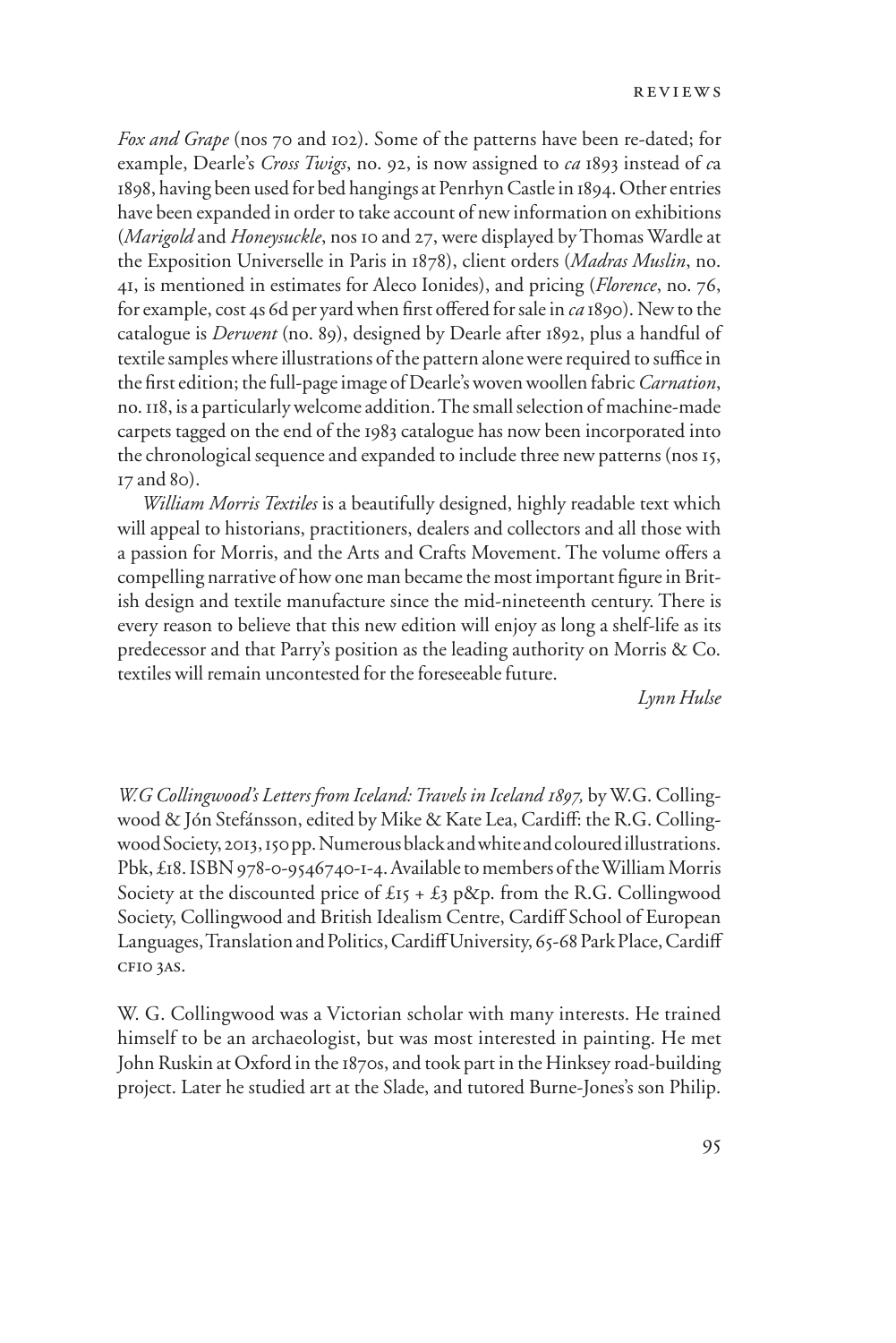*Fox and Grape* (nos 70 and 102). Some of the patterns have been re-dated; for example, Dearle's *Cross Twigs*, no. 92, is now assigned to *ca* 1893 instead of *c*a 1898, having been used for bed hangings at Penrhyn Castle in 1894. Other entries have been expanded in order to take account of new information on exhibitions (*Marigold* and *Honeysuckle*, nos 10 and 27, were displayed by Thomas Wardle at the Exposition Universelle in Paris in 1878), client orders (*Madras Muslin*, no. 41, is mentioned in estimates for Aleco Ionides), and pricing (*Florence*, no. 76, for example, cost 4s 6d per yard when first offered for sale in *ca* 1890). New to the catalogue is *Derwent* (no. 89), designed by Dearle after 1892, plus a handful of textile samples where illustrations of the pattern alone were required to suffice in the first edition; the full-page image of Dearle's woven woollen fabric *Carnation*, no. 118, is a particularly welcome addition. The small selection of machine-made carpets tagged on the end of the 1983 catalogue has now been incorporated into the chronological sequence and expanded to include three new patterns (nos 15, 17 and 80).

*William Morris Textiles* is a beautifully designed, highly readable text which will appeal to historians, practitioners, dealers and collectors and all those with a passion for Morris, and the Arts and Crafts Movement. The volume offers a compelling narrative of how one man became the most important figure in British design and textile manufacture since the mid-nineteenth century. There is every reason to believe that this new edition will enjoy as long a shelf-life as its predecessor and that Parry's position as the leading authority on Morris & Co. textiles will remain uncontested for the foreseeable future.

*Lynn Hulse*

*W.G Collingwood's Letters from Iceland: Travels in Iceland 1897,* by W.G. Collingwood & Jón Stefánsson, edited by Mike & Kate Lea, Cardiff: the R.G. Collingwood Society, 2013, 150 pp. Numerous black and white and coloured illustrations. Pbk, £18. ISBN 978-0-9546740-1-4. Available to members of the William Morris Society at the discounted price of  $\pounds$ 15 +  $\pounds$ 3 p&p. from the R.G. Collingwood Society, Collingwood and British Idealism Centre, Cardiff School of European Languages, Translation and Politics, Cardiff University, 65-68 Park Place, Cardiff cf10 3as.

W. G. Collingwood was a Victorian scholar with many interests. He trained himself to be an archaeologist, but was most interested in painting. He met John Ruskin at Oxford in the 1870s, and took part in the Hinksey road-building project. Later he studied art at the Slade, and tutored Burne-Jones's son Philip.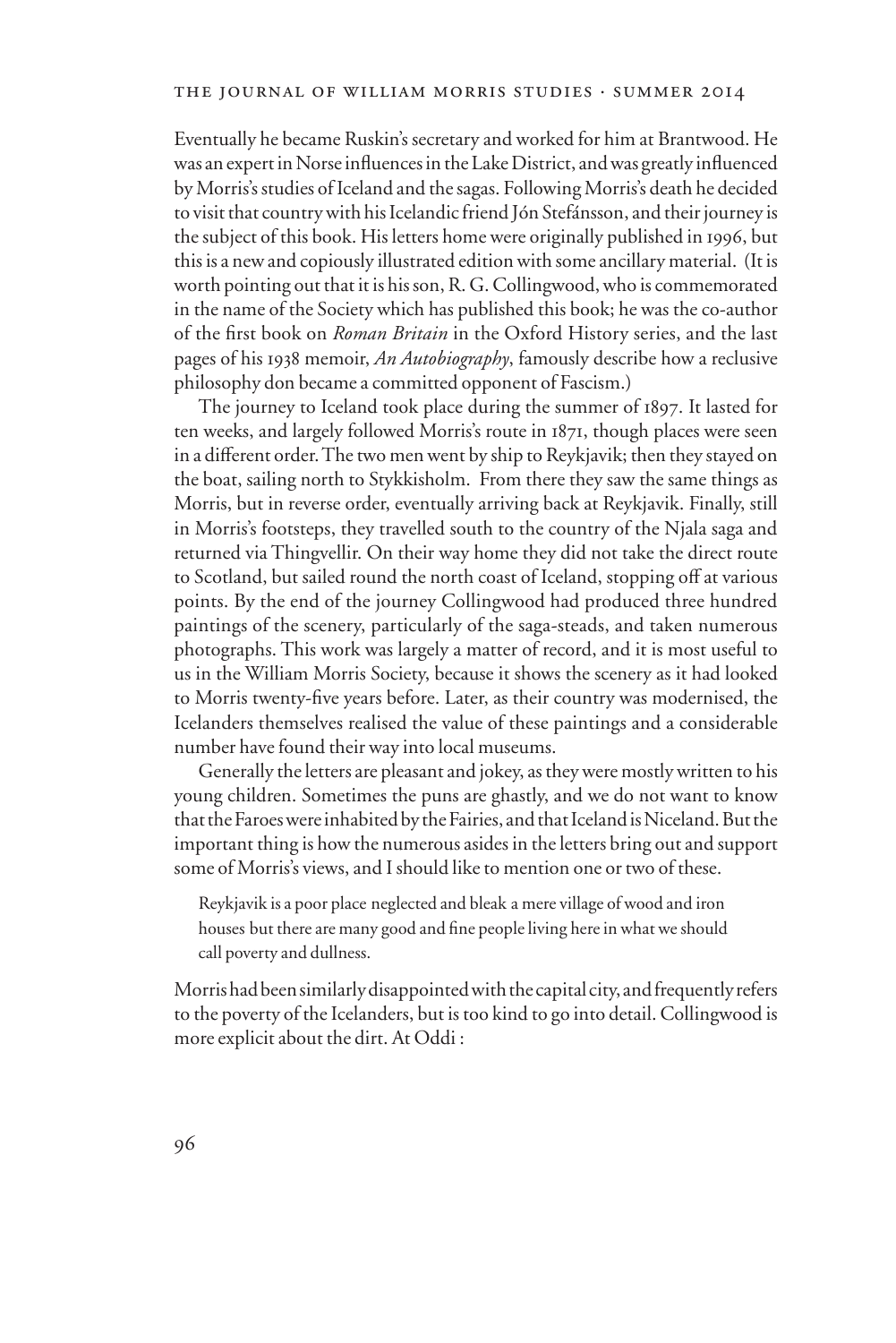Eventually he became Ruskin's secretary and worked for him at Brantwood. He was an expert in Norse influences in the Lake District, and was greatly influenced by Morris's studies of Iceland and the sagas. Following Morris's death he decided to visit that country with his Icelandic friend Jón Stefánsson, and their journey is the subject of this book. His letters home were originally published in 1996, but this is a new and copiously illustrated edition with some ancillary material. (It is worth pointing out that it is his son, R. G. Collingwood, who is commemorated in the name of the Society which has published this book; he was the co-author of the Wrst book on *Roman Britain* in the Oxford History series, and the last pages of his 1938 memoir, *An Autobiography*, famously describe how a reclusive philosophy don became a committed opponent of Fascism.)

The journey to Iceland took place during the summer of 1897. It lasted for ten weeks, and largely followed Morris's route in 1871, though places were seen in a different order. The two men went by ship to Reykjavik; then they stayed on the boat, sailing north to Stykkisholm. From there they saw the same things as Morris, but in reverse order, eventually arriving back at Reykjavik. Finally, still in Morris's footsteps, they travelled south to the country of the Njala saga and returned via Thingvellir. On their way home they did not take the direct route to Scotland, but sailed round the north coast of Iceland, stopping off at various points. By the end of the journey Collingwood had produced three hundred paintings of the scenery, particularly of the saga-steads, and taken numerous photographs. This work was largely a matter of record, and it is most useful to us in the William Morris Society, because it shows the scenery as it had looked to Morris twenty-five years before. Later, as their country was modernised, the Icelanders themselves realised the value of these paintings and a considerable number have found their way into local museums.

Generally the letters are pleasant and jokey, as they were mostly written to his young children. Sometimes the puns are ghastly, and we do not want to know that the Faroes were inhabited by the Fairies, and that Iceland is Niceland. But the important thing is how the numerous asides in the letters bring out and support some of Morris's views, and I should like to mention one or two of these.

Reykjavik is a poor place neglected and bleak a mere village of wood and iron houses but there are many good and fine people living here in what we should call poverty and dullness.

Morris had been similarly disappointed with the capital city, and frequently refers to the poverty of the Icelanders, but is too kind to go into detail. Collingwood is more explicit about the dirt. At Oddi :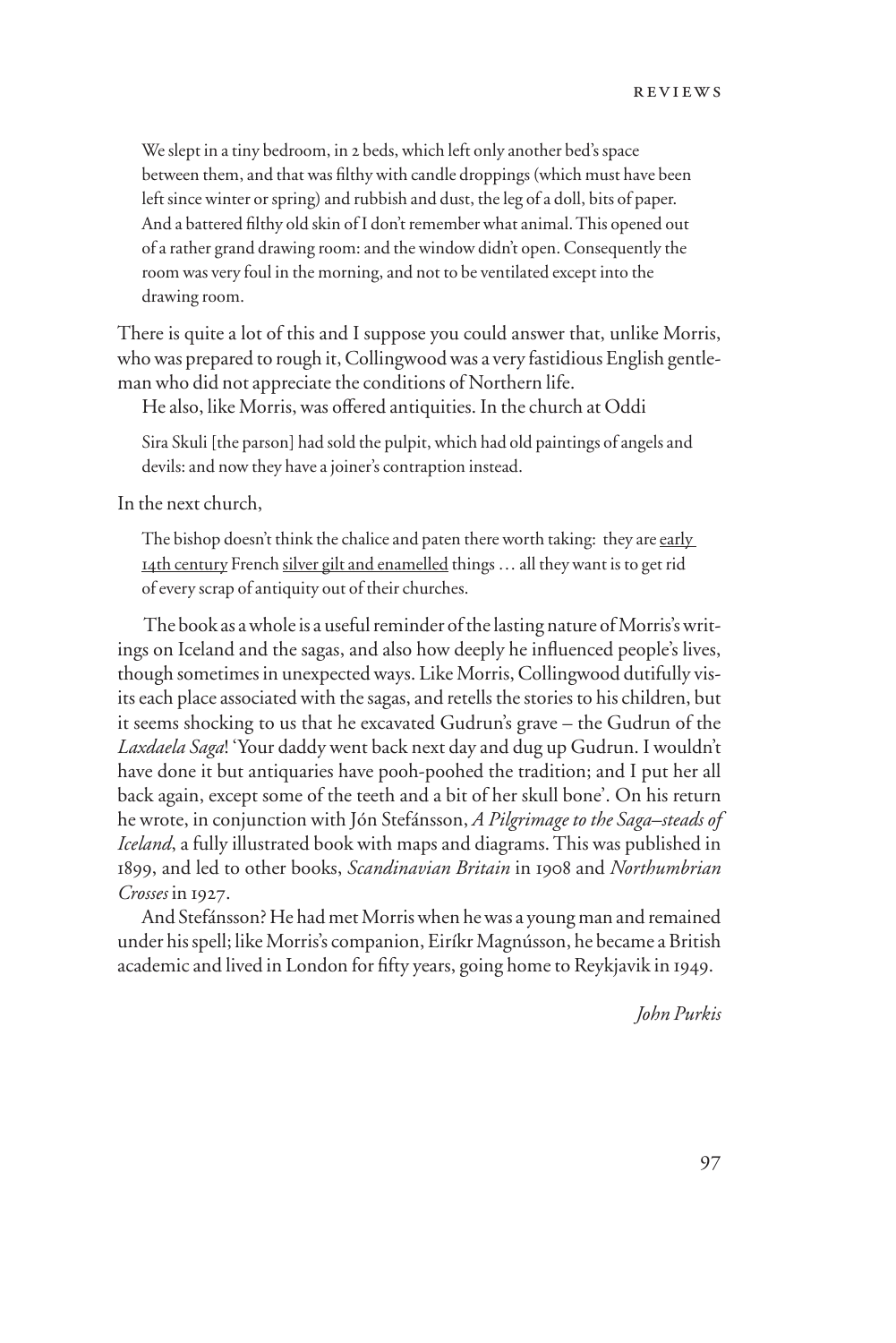We slept in a tiny bedroom, in 2 beds, which left only another bed's space between them, and that was filthy with candle droppings (which must have been left since winter or spring) and rubbish and dust, the leg of a doll, bits of paper. And a battered filthy old skin of I don't remember what animal. This opened out of a rather grand drawing room: and the window didn't open. Consequently the room was very foul in the morning, and not to be ventilated except into the drawing room.

There is quite a lot of this and I suppose you could answer that, unlike Morris, who was prepared to rough it, Collingwood was a very fastidious English gentleman who did not appreciate the conditions of Northern life.

He also, like Morris, was offered antiquities. In the church at Oddi

Sira Skuli [the parson] had sold the pulpit, which had old paintings of angels and devils: and now they have a joiner's contraption instead.

In the next church,

The bishop doesn't think the chalice and paten there worth taking: they are early 14th century French silver gilt and enamelled things … all they want is to get rid of every scrap of antiquity out of their churches.

The book as a whole is a useful reminder of the lasting nature of Morris's writings on Iceland and the sagas, and also how deeply he influenced people's lives, though sometimes in unexpected ways. Like Morris, Collingwood dutifully visits each place associated with the sagas, and retells the stories to his children, but it seems shocking to us that he excavated Gudrun's grave – the Gudrun of the *Laxdaela Saga*! 'Your daddy went back next day and dug up Gudrun. I wouldn't have done it but antiquaries have pooh-poohed the tradition; and I put her all back again, except some of the teeth and a bit of her skull bone'. On his return he wrote, in conjunction with Jón Stefánsson, *A Pilgrimage to the Saga–steads of Iceland*, a fully illustrated book with maps and diagrams. This was published in 1899, and led to other books, *Scandinavian Britain* in 1908 and *Northumbrian Crosses* in 1927.

And Stefánsson? He had met Morris when he was a young man and remained under his spell; like Morris's companion, Eiríkr Magnússon, he became a British academic and lived in London for fifty years, going home to Reykjavik in 1949.

*John Purkis*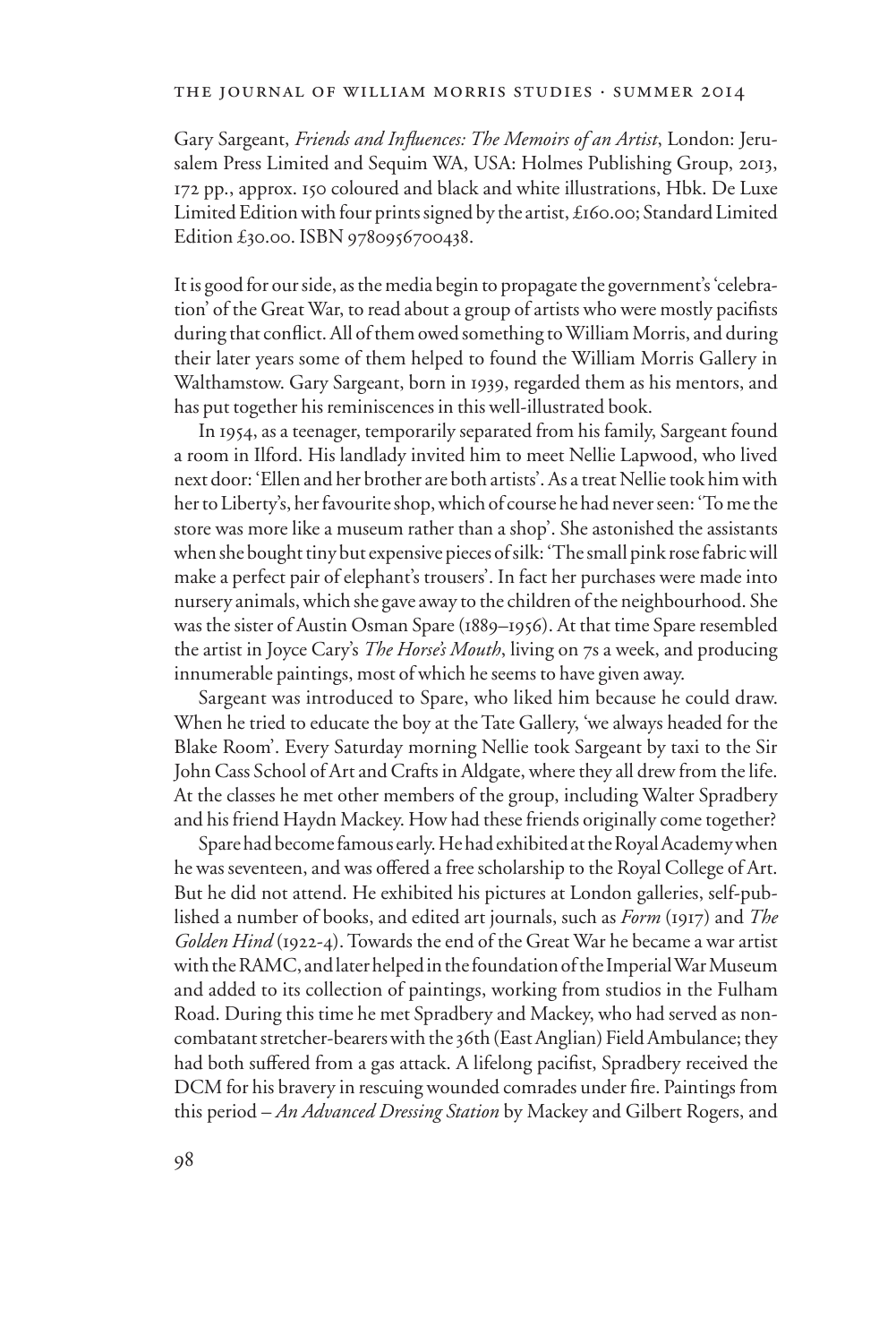#### the journal of william morris studies . summer 2014

Gary Sargeant, *Friends and Influences: The Memoirs of an Artist*, London: Jerusalem Press Limited and Sequim WA, USA: Holmes Publishing Group, 2013, 172 pp., approx. 150 coloured and black and white illustrations, Hbk. De Luxe Limited Edition with four prints signed by the artist, £160.00; Standard Limited Edition £30.00. ISBN 9780956700438.

It is good for our side, as the media begin to propagate the government's 'celebration' of the Great War, to read about a group of artists who were mostly pacifists during that conflict. All of them owed something to William Morris, and during their later years some of them helped to found the William Morris Gallery in Walthamstow. Gary Sargeant, born in 1939, regarded them as his mentors, and has put together his reminiscences in this well-illustrated book.

In 1954, as a teenager, temporarily separated from his family, Sargeant found a room in Ilford. His landlady invited him to meet Nellie Lapwood, who lived next door: 'Ellen and her brother are both artists'. As a treat Nellie took him with her to Liberty's, her favourite shop, which of course he had never seen: 'To me the store was more like a museum rather than a shop'. She astonished the assistants when she bought tiny but expensive pieces of silk: 'The small pink rose fabric will make a perfect pair of elephant's trousers'. In fact her purchases were made into nursery animals, which she gave away to the children of the neighbourhood. She was the sister of Austin Osman Spare (1889–1956). At that time Spare resembled the artist in Joyce Cary's *The Horse's Mouth*, living on 7s a week, and producing innumerable paintings, most of which he seems to have given away.

Sargeant was introduced to Spare, who liked him because he could draw. When he tried to educate the boy at the Tate Gallery, 'we always headed for the Blake Room'. Every Saturday morning Nellie took Sargeant by taxi to the Sir John Cass School of Art and Crafts in Aldgate, where they all drew from the life. At the classes he met other members of the group, including Walter Spradbery and his friend Haydn Mackey. How had these friends originally come together?

Spare had become famous early. He had exhibited at the Royal Academy when he was seventeen, and was offered a free scholarship to the Royal College of Art. But he did not attend. He exhibited his pictures at London galleries, self-published a number of books, and edited art journals, such as *Form* (1917) and *The Golden Hind* (1922-4). Towards the end of the Great War he became a war artist with the RAMC, and later helped in the foundation of the Imperial War Museum and added to its collection of paintings, working from studios in the Fulham Road. During this time he met Spradbery and Mackey, who had served as noncombatant stretcher-bearers with the 36th (East Anglian) Field Ambulance; they had both suffered from a gas attack. A lifelong pacifist, Spradbery received the DCM for his bravery in rescuing wounded comrades under fire. Paintings from this period – *An Advanced Dressing Station* by Mackey and Gilbert Rogers, and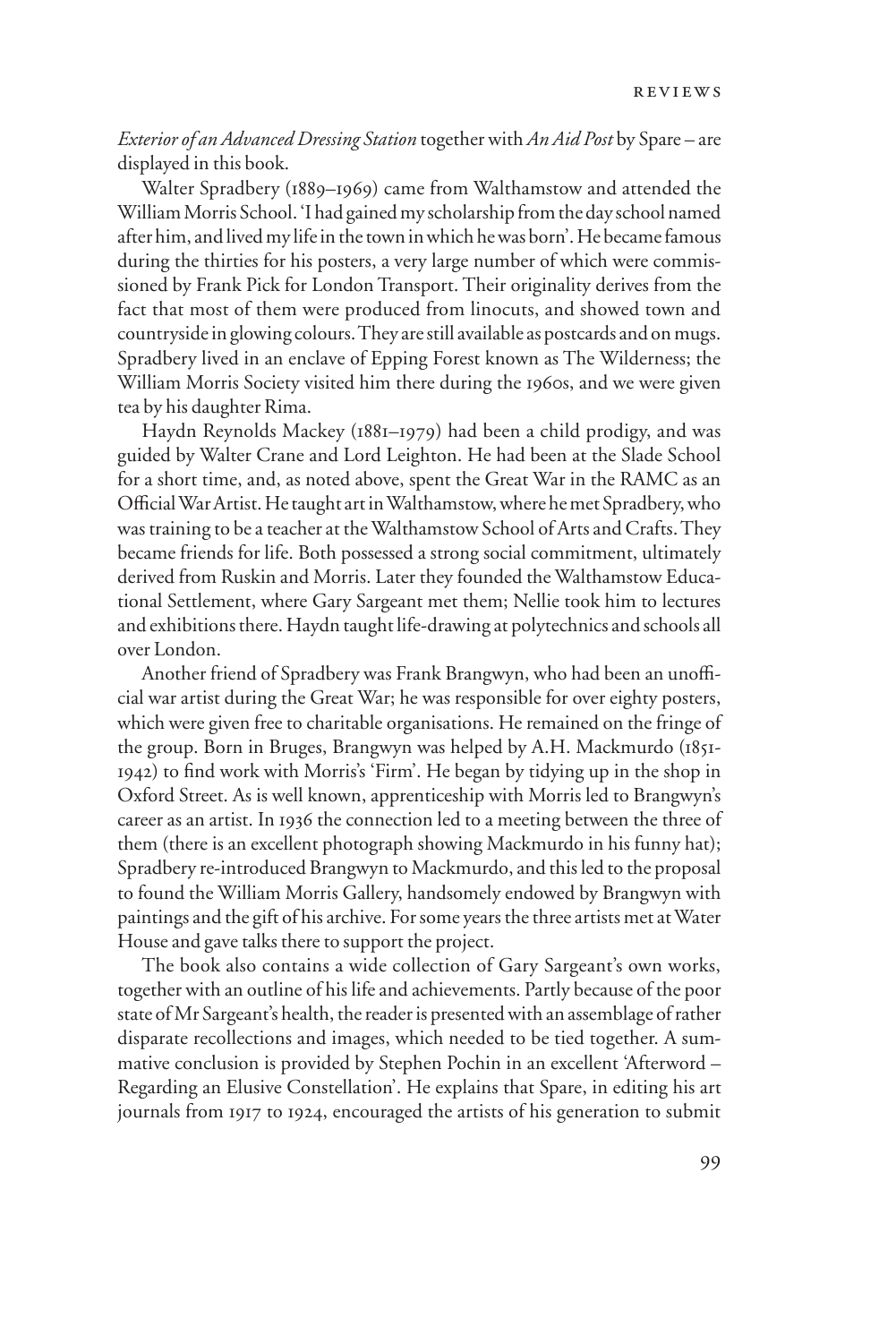## *Exterior of an Advanced Dressing Station* together with *An Aid Post* by Spare – are displayed in this book.

Walter Spradbery (1889–1969) came from Walthamstow and attended the William Morris School. 'I had gained my scholarship from the day school named after him, and lived my life in the town in which he was born'. He became famous during the thirties for his posters, a very large number of which were commissioned by Frank Pick for London Transport. Their originality derives from the fact that most of them were produced from linocuts, and showed town and countryside in glowing colours. They are still available as postcards and on mugs. Spradbery lived in an enclave of Epping Forest known as The Wilderness; the William Morris Society visited him there during the 1960s, and we were given tea by his daughter Rima.

Haydn Reynolds Mackey (1881–1979) had been a child prodigy, and was guided by Walter Crane and Lord Leighton. He had been at the Slade School for a short time, and, as noted above, spent the Great War in the RAMC as an Official War Artist. He taught art in Walthamstow, where he met Spradbery, who was training to be a teacher at the Walthamstow School of Arts and Crafts. They became friends for life. Both possessed a strong social commitment, ultimately derived from Ruskin and Morris. Later they founded the Walthamstow Educational Settlement, where Gary Sargeant met them; Nellie took him to lectures and exhibitions there. Haydn taught life-drawing at polytechnics and schools all over London.

Another friend of Spradbery was Frank Brangwyn, who had been an unofficial war artist during the Great War; he was responsible for over eighty posters, which were given free to charitable organisations. He remained on the fringe of the group. Born in Bruges, Brangwyn was helped by A.H. Mackmurdo (1851- 1942) to find work with Morris's 'Firm'. He began by tidying up in the shop in Oxford Street. As is well known, apprenticeship with Morris led to Brangwyn's career as an artist. In 1936 the connection led to a meeting between the three of them (there is an excellent photograph showing Mackmurdo in his funny hat); Spradbery re-introduced Brangwyn to Mackmurdo, and this led to the proposal to found the William Morris Gallery, handsomely endowed by Brangwyn with paintings and the gift of his archive. For some years the three artists met at Water House and gave talks there to support the project.

The book also contains a wide collection of Gary Sargeant's own works, together with an outline of his life and achievements. Partly because of the poor state of Mr Sargeant's health, the reader is presented with an assemblage of rather disparate recollections and images, which needed to be tied together. A summative conclusion is provided by Stephen Pochin in an excellent 'Afterword – Regarding an Elusive Constellation'. He explains that Spare, in editing his art journals from 1917 to 1924, encouraged the artists of his generation to submit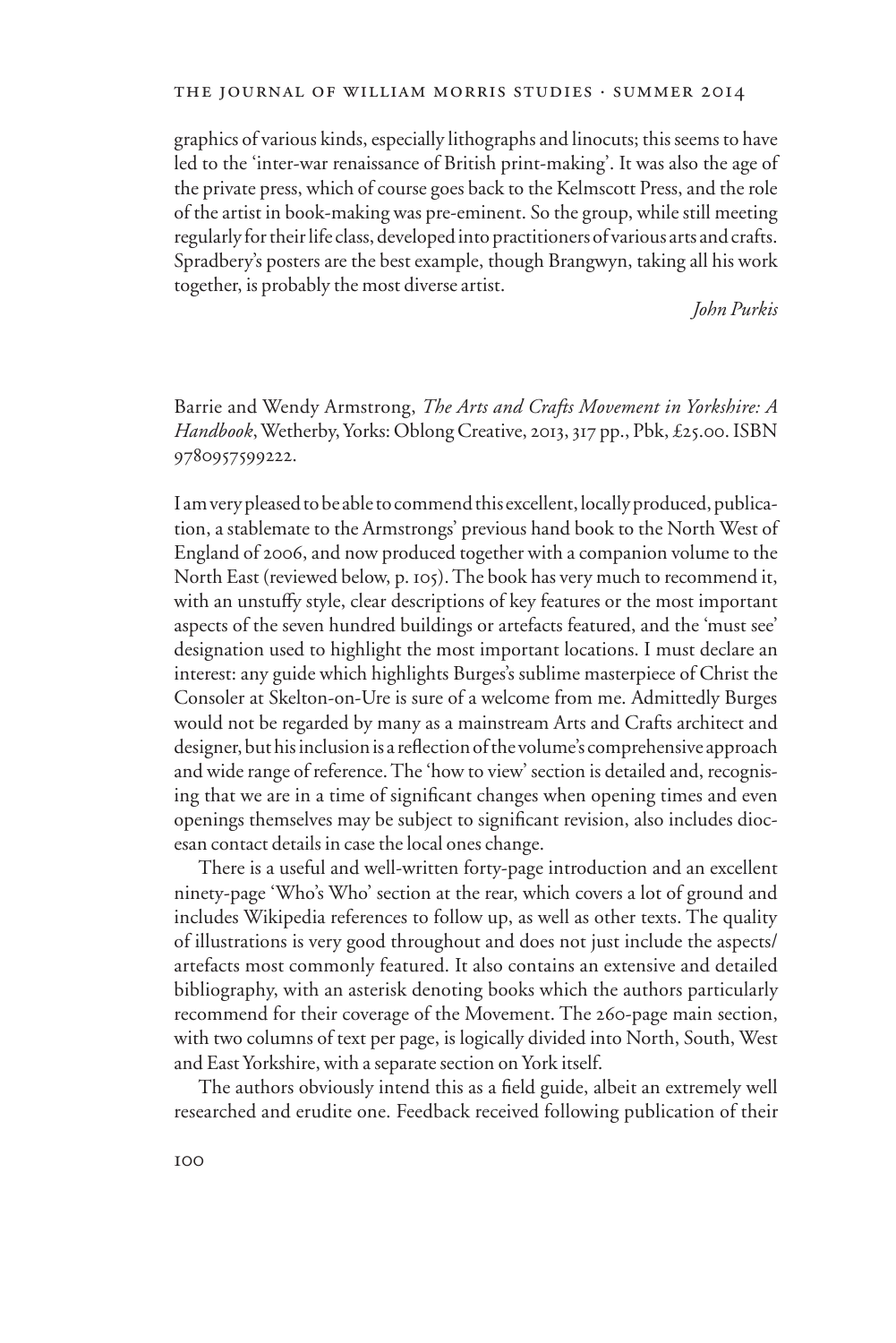graphics of various kinds, especially lithographs and linocuts; this seems to have led to the 'inter-war renaissance of British print-making'. It was also the age of the private press, which of course goes back to the Kelmscott Press, and the role of the artist in book-making was pre-eminent. So the group, while still meeting regularly for their life class, developed into practitioners of various arts and crafts. Spradbery's posters are the best example, though Brangwyn, taking all his work together, is probably the most diverse artist.

*John Purkis*

Barrie and Wendy Armstrong, *The Arts and Crafts Movement in Yorkshire: A Handbook*, Wetherby, Yorks: Oblong Creative, 2013, 317 pp., Pbk, £25.00. ISBN 9780957599222.

I am very pleased to be able to commend this excellent, locally produced, publication, a stablemate to the Armstrongs' previous hand book to the North West of England of 2006, and now produced together with a companion volume to the North East (reviewed below, p. 105). The book has very much to recommend it, with an unstuffy style, clear descriptions of key features or the most important aspects of the seven hundred buildings or artefacts featured, and the 'must see' designation used to highlight the most important locations. I must declare an interest: any guide which highlights Burges's sublime masterpiece of Christ the Consoler at Skelton-on-Ure is sure of a welcome from me. Admittedly Burges would not be regarded by many as a mainstream Arts and Crafts architect and designer, but his inclusion is a reflection of the volume's comprehensive approach and wide range of reference. The 'how to view' section is detailed and, recognising that we are in a time of significant changes when opening times and even openings themselves may be subject to significant revision, also includes diocesan contact details in case the local ones change.

There is a useful and well-written forty-page introduction and an excellent ninety-page 'Who's Who' section at the rear, which covers a lot of ground and includes Wikipedia references to follow up, as well as other texts. The quality of illustrations is very good throughout and does not just include the aspects/ artefacts most commonly featured. It also contains an extensive and detailed bibliography, with an asterisk denoting books which the authors particularly recommend for their coverage of the Movement. The 260-page main section, with two columns of text per page, is logically divided into North, South, West and East Yorkshire, with a separate section on York itself.

The authors obviously intend this as a field guide, albeit an extremely well researched and erudite one. Feedback received following publication of their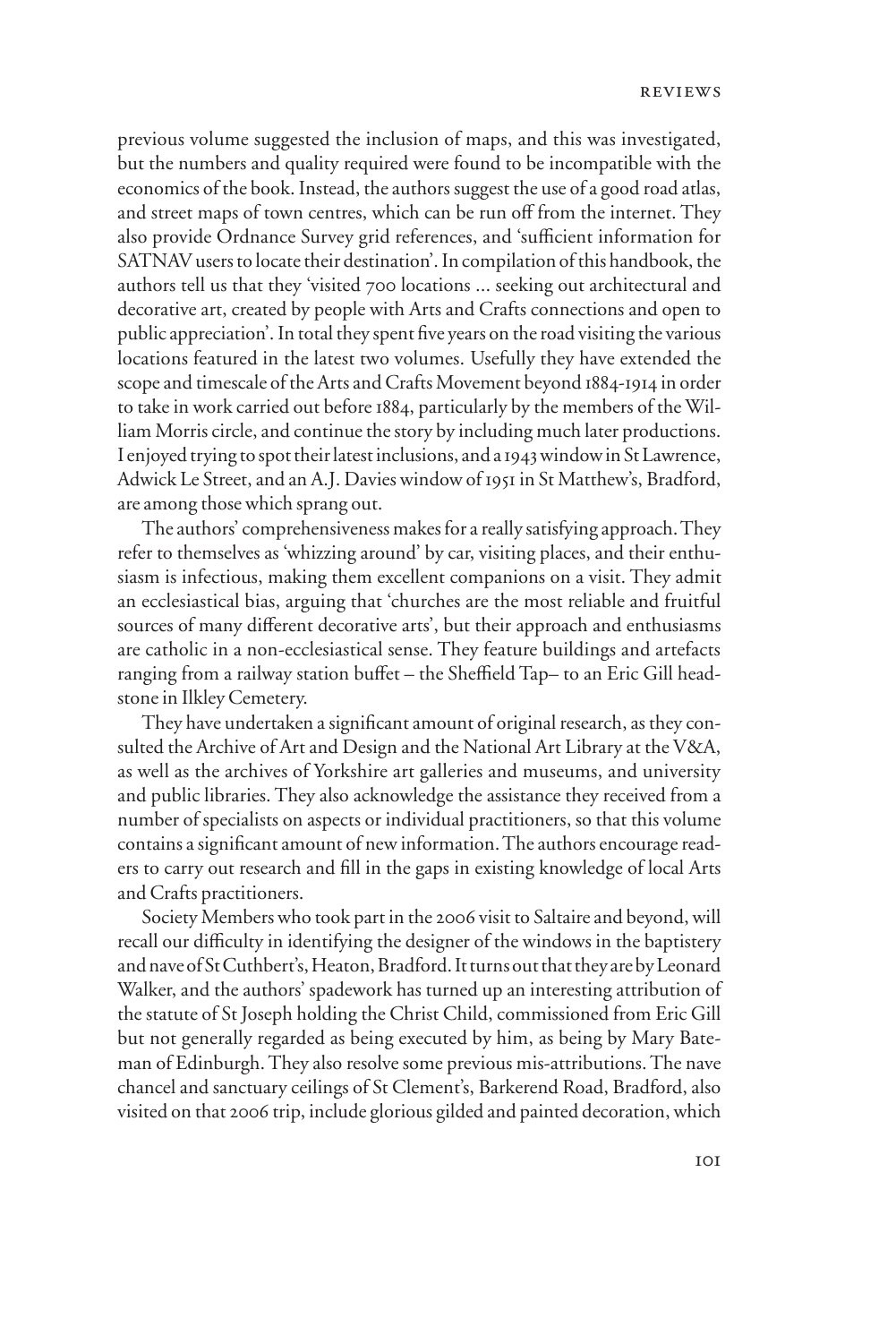previous volume suggested the inclusion of maps, and this was investigated, but the numbers and quality required were found to be incompatible with the economics of the book. Instead, the authors suggest the use of a good road atlas, and street maps of town centres, which can be run off from the internet. They also provide Ordnance Survey grid references, and 'sufficient information for SATNAV users to locate their destination'. In compilation of this handbook, the authors tell us that they 'visited 700 locations ... seeking out architectural and decorative art, created by people with Arts and Crafts connections and open to public appreciation'. In total they spent five years on the road visiting the various locations featured in the latest two volumes. Usefully they have extended the scope and timescale of the Arts and Crafts Movement beyond 1884-1914 in order to take in work carried out before 1884, particularly by the members of the William Morris circle, and continue the story by including much later productions. I enjoyed trying to spot their latest inclusions, and a 1943 window in St Lawrence, Adwick Le Street, and an A.J. Davies window of 1951 in St Matthew's, Bradford, are among those which sprang out.

The authors' comprehensiveness makes for a really satisfying approach. They refer to themselves as 'whizzing around' by car, visiting places, and their enthusiasm is infectious, making them excellent companions on a visit. They admit an ecclesiastical bias, arguing that 'churches are the most reliable and fruitful sources of many different decorative arts', but their approach and enthusiasms are catholic in a non-ecclesiastical sense. They feature buildings and artefacts ranging from a railway station buffet – the Sheffield Tap– to an Eric Gill headstone in Ilkley Cemetery.

They have undertaken a significant amount of original research, as they consulted the Archive of Art and Design and the National Art Library at the V&A, as well as the archives of Yorkshire art galleries and museums, and university and public libraries. They also acknowledge the assistance they received from a number of specialists on aspects or individual practitioners, so that this volume contains a significant amount of new information. The authors encourage readers to carry out research and fill in the gaps in existing knowledge of local Arts and Crafts practitioners.

Society Members who took part in the 2006 visit to Saltaire and beyond, will recall our difficulty in identifying the designer of the windows in the baptistery and nave of St Cuthbert's, Heaton, Bradford. It turns out that they are by Leonard Walker, and the authors' spadework has turned up an interesting attribution of the statute of St Joseph holding the Christ Child, commissioned from Eric Gill but not generally regarded as being executed by him, as being by Mary Bateman of Edinburgh. They also resolve some previous mis-attributions. The nave chancel and sanctuary ceilings of St Clement's, Barkerend Road, Bradford, also visited on that 2006 trip, include glorious gilded and painted decoration, which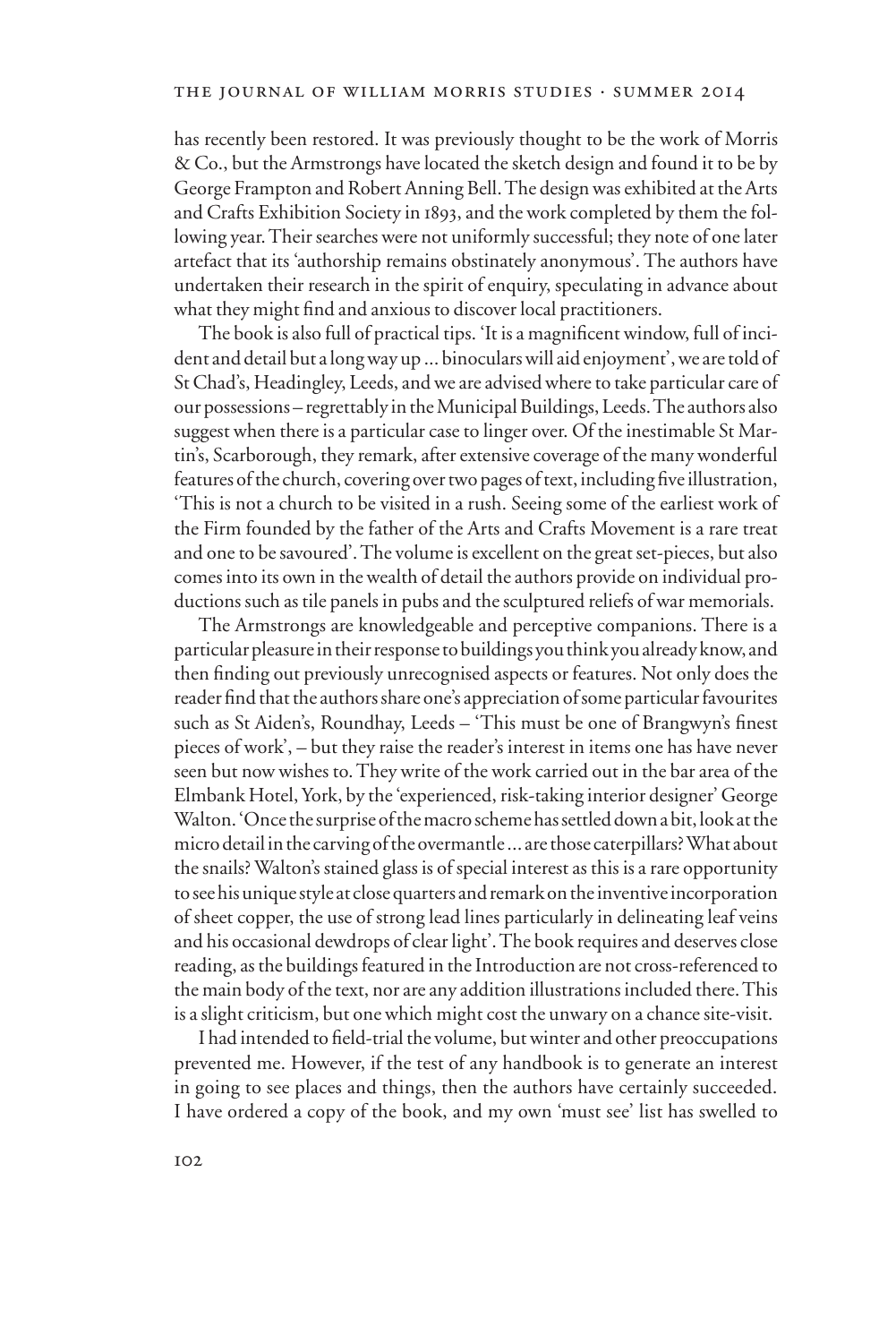has recently been restored. It was previously thought to be the work of Morris & Co., but the Armstrongs have located the sketch design and found it to be by George Frampton and Robert Anning Bell. The design was exhibited at the Arts and Crafts Exhibition Society in 1893, and the work completed by them the following year. Their searches were not uniformly successful; they note of one later artefact that its 'authorship remains obstinately anonymous'. The authors have undertaken their research in the spirit of enquiry, speculating in advance about what they might find and anxious to discover local practitioners.

The book is also full of practical tips. 'It is a magnificent window, full of incident and detail but a long way up ... binoculars will aid enjoyment', we are told of St Chad's, Headingley, Leeds, and we are advised where to take particular care of our possessions – regrettably in the Municipal Buildings, Leeds. The authors also suggest when there is a particular case to linger over. Of the inestimable St Martin's, Scarborough, they remark, after extensive coverage of the many wonderful features of the church, covering over two pages of text, including five illustration, 'This is not a church to be visited in a rush. Seeing some of the earliest work of the Firm founded by the father of the Arts and Crafts Movement is a rare treat and one to be savoured'. The volume is excellent on the great set-pieces, but also comes into its own in the wealth of detail the authors provide on individual productions such as tile panels in pubs and the sculptured reliefs of war memorials.

The Armstrongs are knowledgeable and perceptive companions. There is a particular pleasure in their response to buildings you think you already know, and then finding out previously unrecognised aspects or features. Not only does the reader find that the authors share one's appreciation of some particular favourites such as St Aiden's, Roundhay, Leeds – 'This must be one of Brangwyn's finest pieces of work', – but they raise the reader's interest in items one has have never seen but now wishes to. They write of the work carried out in the bar area of the Elmbank Hotel, York, by the 'experienced, risk-taking interior designer' George Walton. 'Once the surprise of the macro scheme has settled down a bit, look at the micro detail in the carving of the overmantle ... are those caterpillars? What about the snails? Walton's stained glass is of special interest as this is a rare opportunity to see his unique style at close quarters and remark on the inventive incorporation of sheet copper, the use of strong lead lines particularly in delineating leaf veins and his occasional dewdrops of clear light'. The book requires and deserves close reading, as the buildings featured in the Introduction are not cross-referenced to the main body of the text, nor are any addition illustrations included there. This is a slight criticism, but one which might cost the unwary on a chance site-visit.

I had intended to field-trial the volume, but winter and other preoccupations prevented me. However, if the test of any handbook is to generate an interest in going to see places and things, then the authors have certainly succeeded. I have ordered a copy of the book, and my own 'must see' list has swelled to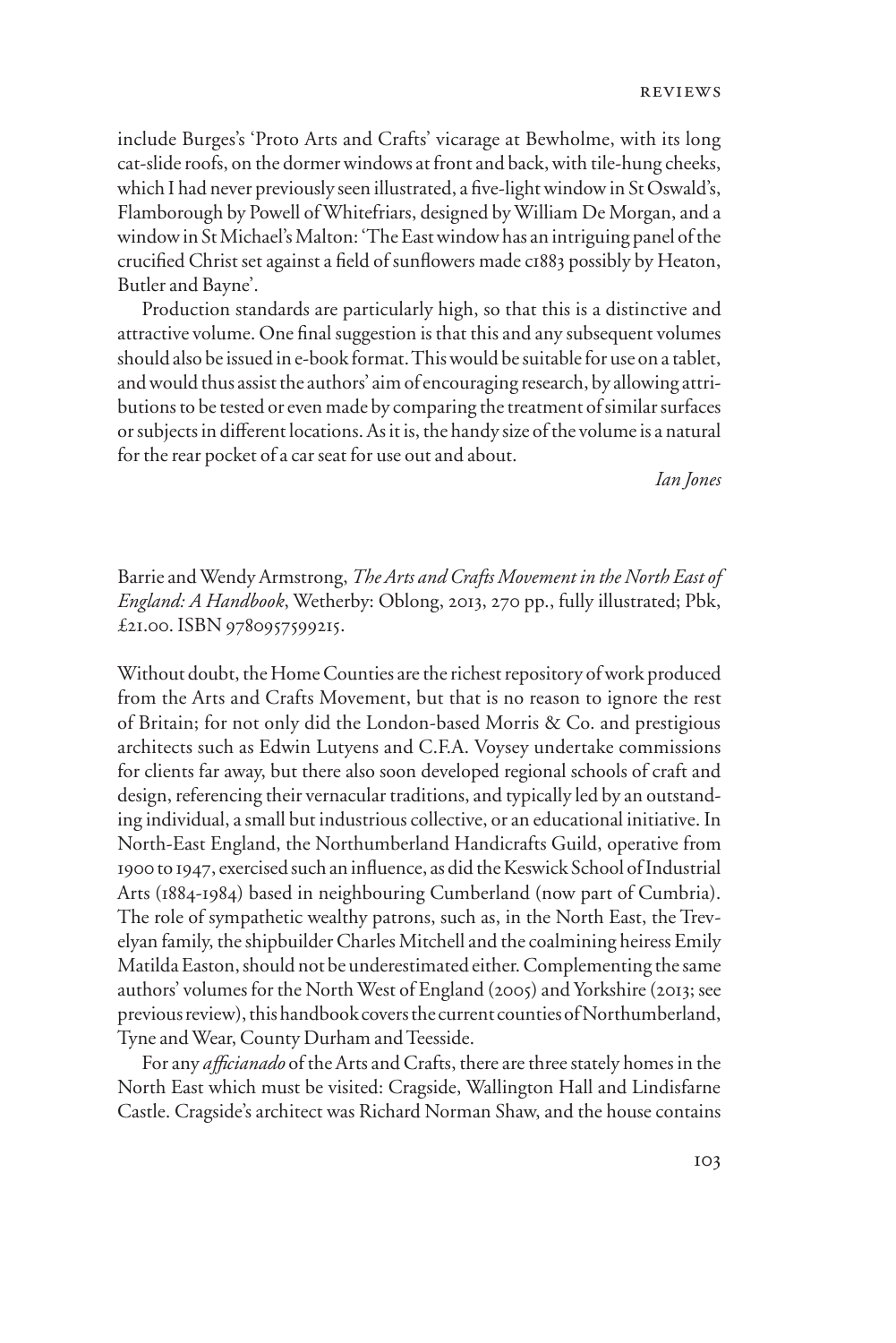include Burges's 'Proto Arts and Crafts' vicarage at Bewholme, with its long cat-slide roofs, on the dormer windows at front and back, with tile-hung cheeks, which I had never previously seen illustrated, a five-light window in St Oswald's, Flamborough by Powell of Whitefriars, designed by William De Morgan, and a window in St Michael's Malton: 'The East window has an intriguing panel of the crucified Christ set against a field of sunflowers made c1883 possibly by Heaton, Butler and Bayne'.

Production standards are particularly high, so that this is a distinctive and attractive volume. One final suggestion is that this and any subsequent volumes should also be issued in e-book format. This would be suitable for use on a tablet, and would thus assist the authors' aim of encouraging research, by allowing attributions to be tested or even made by comparing the treatment of similar surfaces or subjects in different locations. As it is, the handy size of the volume is a natural for the rear pocket of a car seat for use out and about.

*Ian Jones*

Barrie and Wendy Armstrong, *The Arts and Crafts Movement in the North East of England: A Handbook*, Wetherby: Oblong, 2013, 270 pp., fully illustrated; Pbk, £21.00. ISBN 9780957599215.

Without doubt, the Home Counties are the richest repository of work produced from the Arts and Crafts Movement, but that is no reason to ignore the rest of Britain; for not only did the London-based Morris & Co. and prestigious architects such as Edwin Lutyens and C.F.A. Voysey undertake commissions for clients far away, but there also soon developed regional schools of craft and design, referencing their vernacular traditions, and typically led by an outstanding individual, a small but industrious collective, or an educational initiative. In North-East England, the Northumberland Handicrafts Guild, operative from 1900 to 1947, exercised such an influence, as did the Keswick School of Industrial Arts (1884-1984) based in neighbouring Cumberland (now part of Cumbria). The role of sympathetic wealthy patrons, such as, in the North East, the Trevelyan family, the shipbuilder Charles Mitchell and the coalmining heiress Emily Matilda Easton, should not be underestimated either. Complementing the same authors' volumes for the North West of England (2005) and Yorkshire (2013; see previous review), this handbook covers the current counties of Northumberland, Tyne and Wear, County Durham and Teesside.

For any *aYcianado* of the Arts and Crafts, there are three stately homes in the North East which must be visited: Cragside, Wallington Hall and Lindisfarne Castle. Cragside's architect was Richard Norman Shaw, and the house contains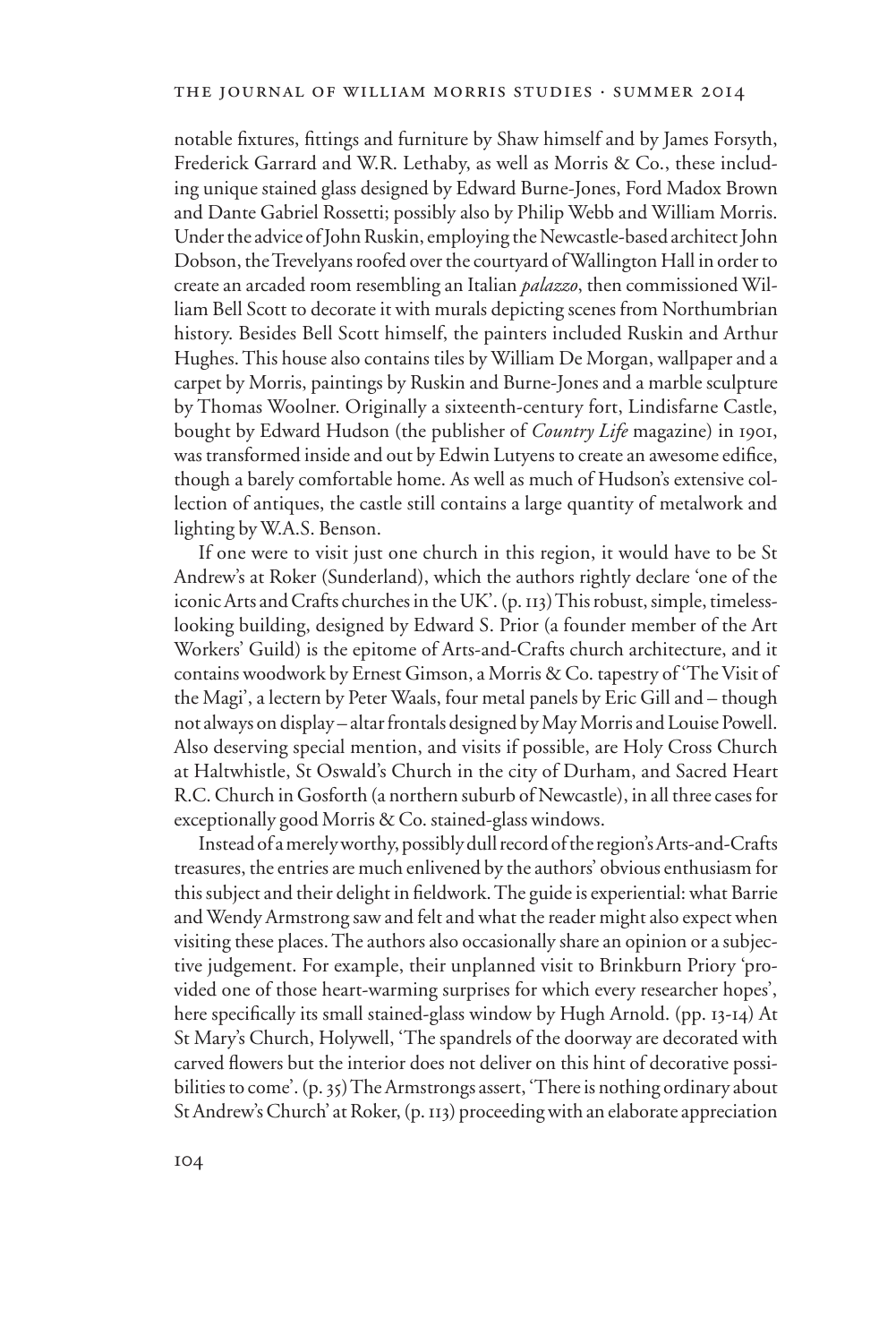notable fixtures, fittings and furniture by Shaw himself and by James Forsyth, Frederick Garrard and W.R. Lethaby, as well as Morris & Co., these including unique stained glass designed by Edward Burne-Jones, Ford Madox Brown and Dante Gabriel Rossetti; possibly also by Philip Webb and William Morris. Under the advice of John Ruskin, employing the Newcastle-based architect John Dobson, the Trevelyans roofed over the courtyard of Wallington Hall in order to create an arcaded room resembling an Italian *palazzo*, then commissioned William Bell Scott to decorate it with murals depicting scenes from Northumbrian history. Besides Bell Scott himself, the painters included Ruskin and Arthur Hughes. This house also contains tiles by William De Morgan, wallpaper and a carpet by Morris, paintings by Ruskin and Burne-Jones and a marble sculpture by Thomas Woolner. Originally a sixteenth-century fort, Lindisfarne Castle, bought by Edward Hudson (the publisher of *Country Life* magazine) in 1901, was transformed inside and out by Edwin Lutyens to create an awesome edifice, though a barely comfortable home. As well as much of Hudson's extensive collection of antiques, the castle still contains a large quantity of metalwork and lighting by W.A.S. Benson.

If one were to visit just one church in this region, it would have to be St Andrew's at Roker (Sunderland), which the authors rightly declare 'one of the iconic Arts and Crafts churches in the UK'. (p. 113) This robust, simple, timelesslooking building, designed by Edward S. Prior (a founder member of the Art Workers' Guild) is the epitome of Arts-and-Crafts church architecture, and it contains woodwork by Ernest Gimson, a Morris & Co. tapestry of 'The Visit of the Magi', a lectern by Peter Waals, four metal panels by Eric Gill and – though not always on display – altar frontals designed by May Morris and Louise Powell. Also deserving special mention, and visits if possible, are Holy Cross Church at Haltwhistle, St Oswald's Church in the city of Durham, and Sacred Heart R.C. Church in Gosforth (a northern suburb of Newcastle), in all three cases for exceptionally good Morris & Co. stained-glass windows.

Instead of a merely worthy, possibly dull record of the region's Arts-and-Crafts treasures, the entries are much enlivened by the authors' obvious enthusiasm for this subject and their delight in fieldwork. The guide is experiential: what Barrie and Wendy Armstrong saw and felt and what the reader might also expect when visiting these places. The authors also occasionally share an opinion or a subjective judgement. For example, their unplanned visit to Brinkburn Priory 'provided one of those heart-warming surprises for which every researcher hopes', here specifically its small stained-glass window by Hugh Arnold. (pp. 13-14) At St Mary's Church, Holywell, 'The spandrels of the doorway are decorated with carved flowers but the interior does not deliver on this hint of decorative possibilities to come'. (p. 35) The Armstrongs assert, 'There is nothing ordinary about St Andrew's Church' at Roker, (p. 113) proceeding with an elaborate appreciation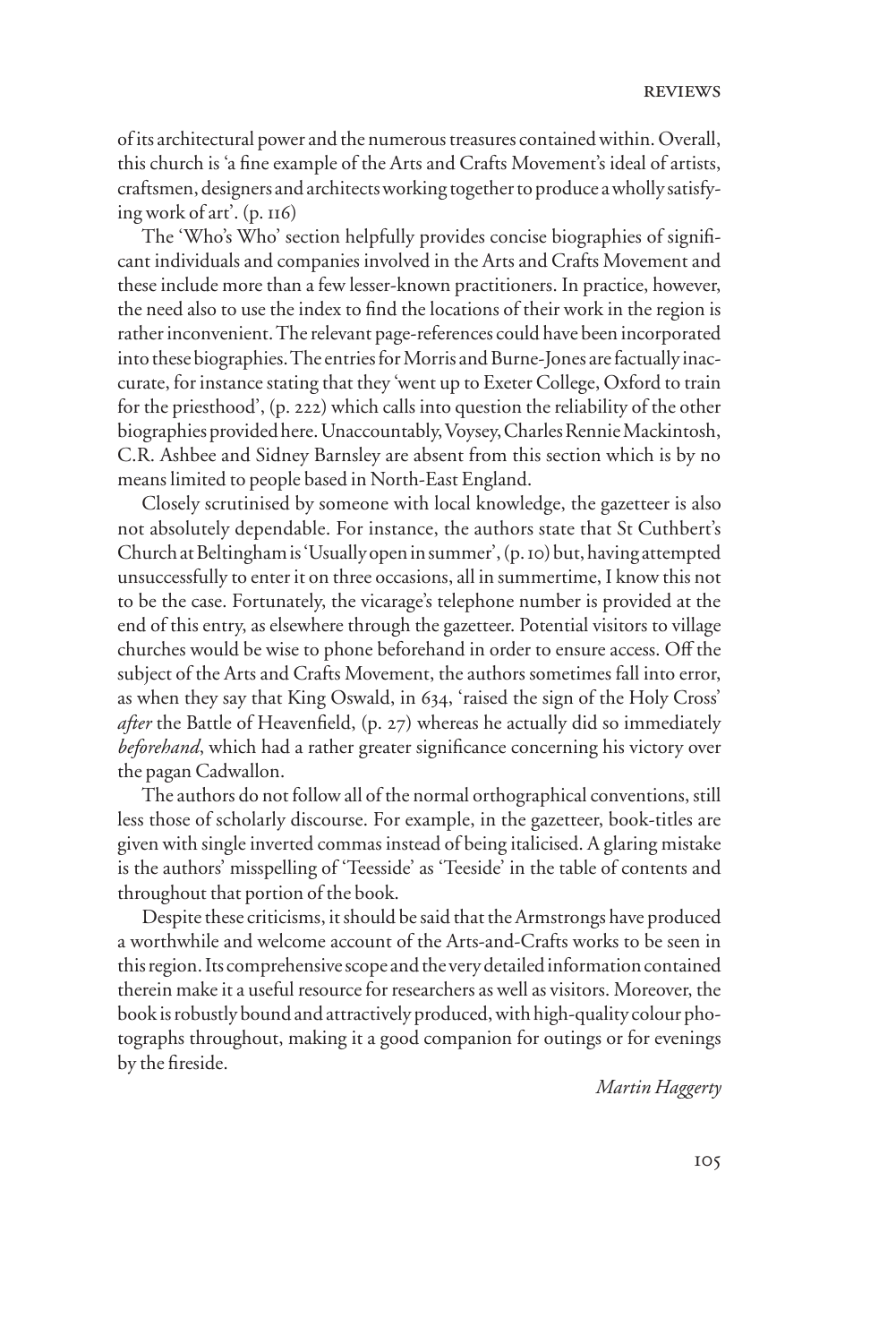of its architectural power and the numerous treasures contained within. Overall, this church is 'a fine example of the Arts and Crafts Movement's ideal of artists, craftsmen, designers and architects working together to produce a wholly satisfying work of art'. (p. 116)

The 'Who's Who' section helpfully provides concise biographies of significant individuals and companies involved in the Arts and Crafts Movement and these include more than a few lesser-known practitioners. In practice, however, the need also to use the index to find the locations of their work in the region is rather inconvenient. The relevant page-references could have been incorporated into these biographies. The entries for Morris and Burne-Jones are factually inaccurate, for instance stating that they 'went up to Exeter College, Oxford to train for the priesthood', (p. 222) which calls into question the reliability of the other biographies provided here. Unaccountably, Voysey, Charles Rennie Mackintosh, C.R. Ashbee and Sidney Barnsley are absent from this section which is by no means limited to people based in North-East England.

Closely scrutinised by someone with local knowledge, the gazetteer is also not absolutely dependable. For instance, the authors state that St Cuthbert's Church at Beltingham is 'Usually open in summer', (p. 10) but, having attempted unsuccessfully to enter it on three occasions, all in summertime, I know this not to be the case. Fortunately, the vicarage's telephone number is provided at the end of this entry, as elsewhere through the gazetteer. Potential visitors to village churches would be wise to phone beforehand in order to ensure access. Off the subject of the Arts and Crafts Movement, the authors sometimes fall into error, as when they say that King Oswald, in 634, 'raised the sign of the Holy Cross' *after* the Battle of Heavenfield, (p. 27) whereas he actually did so immediately *beforehand*, which had a rather greater significance concerning his victory over the pagan Cadwallon.

The authors do not follow all of the normal orthographical conventions, still less those of scholarly discourse. For example, in the gazetteer, book-titles are given with single inverted commas instead of being italicised. A glaring mistake is the authors' misspelling of 'Teesside' as 'Teeside' in the table of contents and throughout that portion of the book.

Despite these criticisms, it should be said that the Armstrongs have produced a worthwhile and welcome account of the Arts-and-Crafts works to be seen in this region. Its comprehensive scope and the very detailed information contained therein make it a useful resource for researchers as well as visitors. Moreover, the book is robustly bound and attractively produced, with high-quality colour photographs throughout, making it a good companion for outings or for evenings by the fireside.

*Martin Haggerty*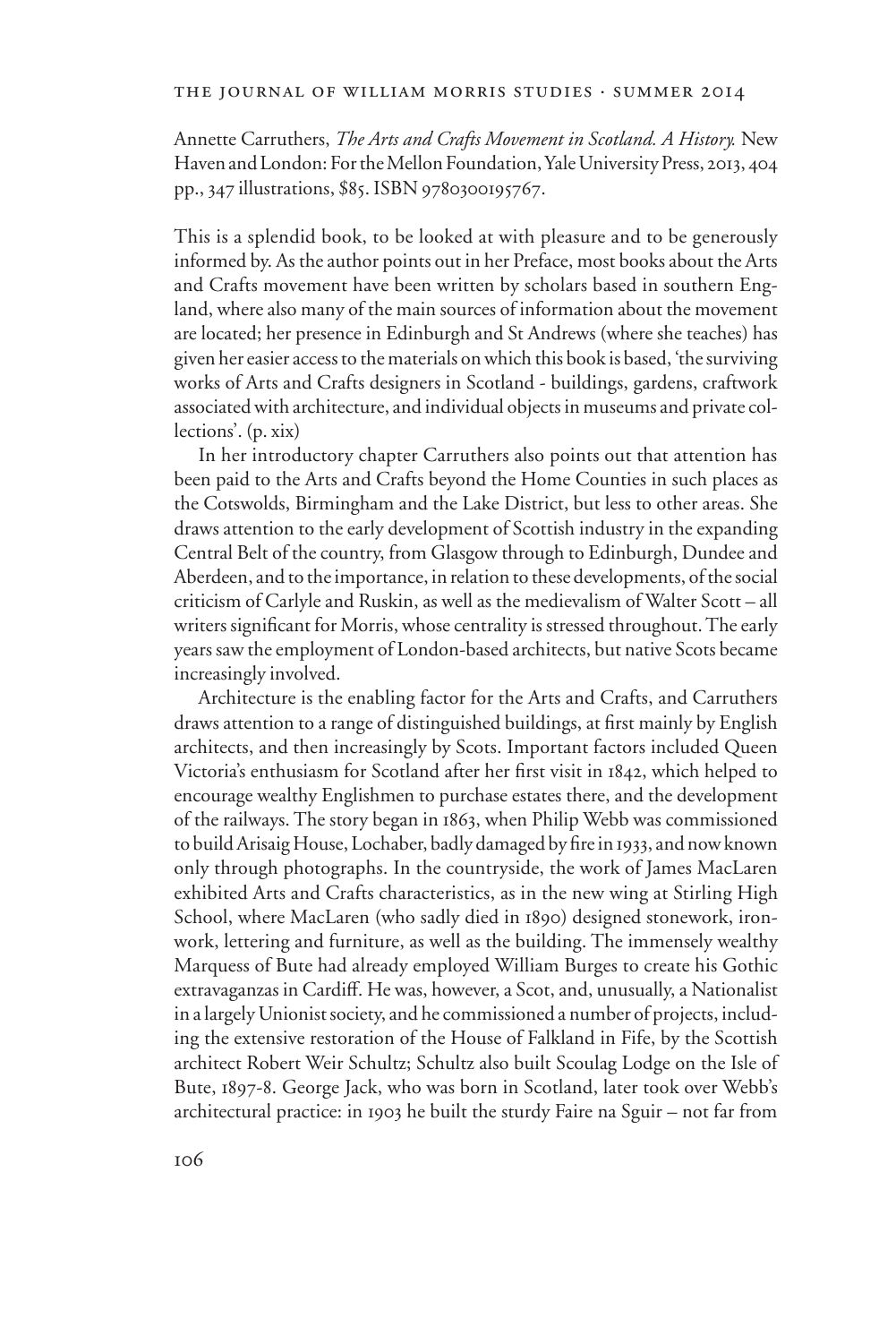## the journal of william morris studies . summer 2014

Annette Carruthers, *The Arts and Crafts Movement in Scotland. A History.* New Haven and London: For the Mellon Foundation, Yale University Press, 2013, 404 pp., 347 illustrations, \$85. ISBN 9780300195767.

This is a splendid book, to be looked at with pleasure and to be generously informed by. As the author points out in her Preface, most books about the Arts and Crafts movement have been written by scholars based in southern England, where also many of the main sources of information about the movement are located; her presence in Edinburgh and St Andrews (where she teaches) has given her easier access to the materials on which this book is based, 'the surviving works of Arts and Crafts designers in Scotland - buildings, gardens, craftwork associated with architecture, and individual objects in museums and private collections'. (p. xix)

In her introductory chapter Carruthers also points out that attention has been paid to the Arts and Crafts beyond the Home Counties in such places as the Cotswolds, Birmingham and the Lake District, but less to other areas. She draws attention to the early development of Scottish industry in the expanding Central Belt of the country, from Glasgow through to Edinburgh, Dundee and Aberdeen, and to the importance, in relation to these developments, of the social criticism of Carlyle and Ruskin, as well as the medievalism of Walter Scott – all writers significant for Morris, whose centrality is stressed throughout. The early years saw the employment of London-based architects, but native Scots became increasingly involved.

Architecture is the enabling factor for the Arts and Crafts, and Carruthers draws attention to a range of distinguished buildings, at first mainly by English architects, and then increasingly by Scots. Important factors included Queen Victoria's enthusiasm for Scotland after her first visit in 1842, which helped to encourage wealthy Englishmen to purchase estates there, and the development of the railways. The story began in 1863, when Philip Webb was commissioned to build Arisaig House, Lochaber, badly damaged by fire in 1933, and now known only through photographs. In the countryside, the work of James MacLaren exhibited Arts and Crafts characteristics, as in the new wing at Stirling High School, where MacLaren (who sadly died in 1890) designed stonework, ironwork, lettering and furniture, as well as the building. The immensely wealthy Marquess of Bute had already employed William Burges to create his Gothic extravaganzas in Cardiff. He was, however, a Scot, and, unusually, a Nationalist in a largely Unionist society, and he commissioned a number of projects, including the extensive restoration of the House of Falkland in Fife, by the Scottish architect Robert Weir Schultz; Schultz also built Scoulag Lodge on the Isle of Bute, 1897-8. George Jack, who was born in Scotland, later took over Webb's architectural practice: in 1903 he built the sturdy Faire na Sguir – not far from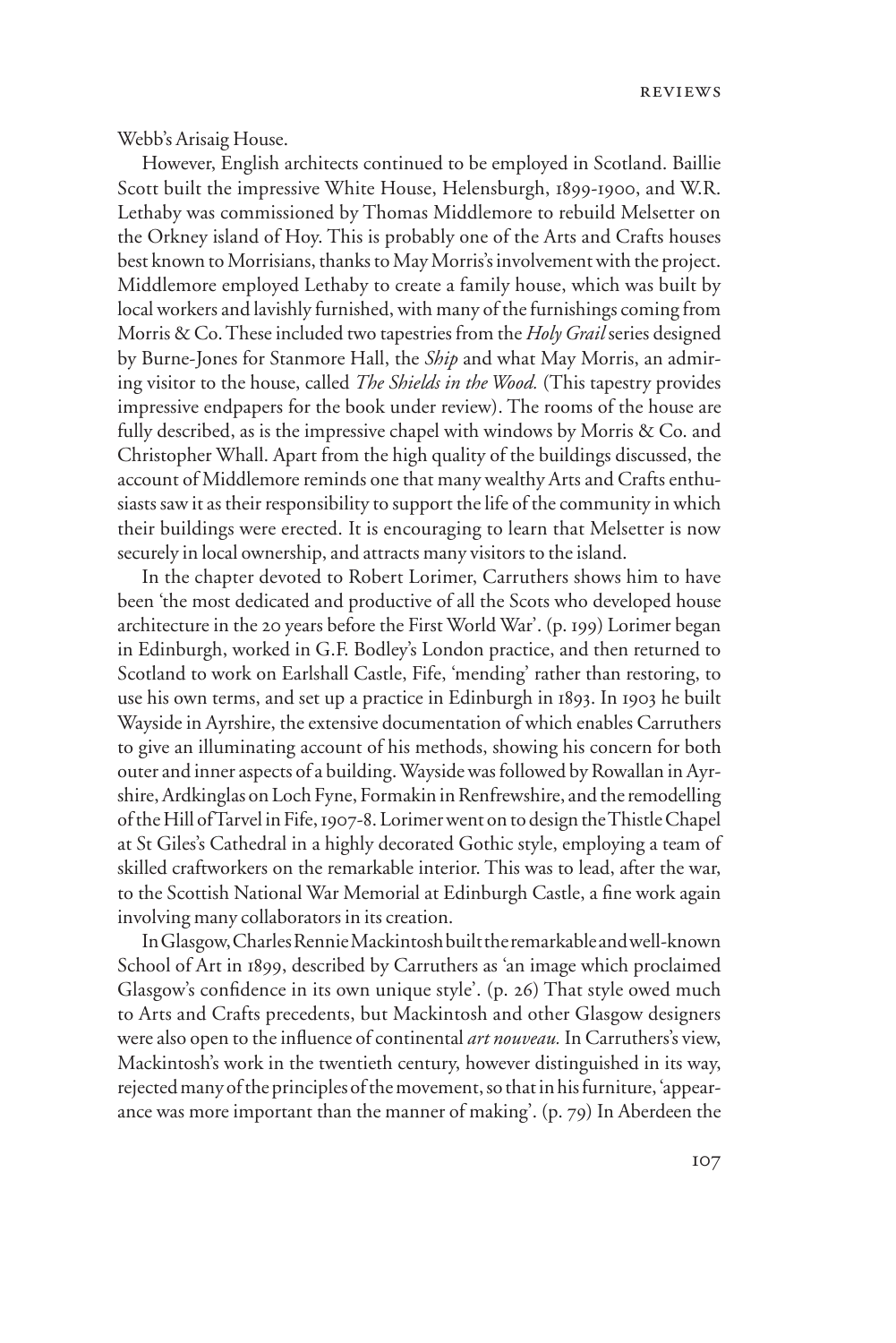reviews

Webb's Arisaig House.

However, English architects continued to be employed in Scotland. Baillie Scott built the impressive White House, Helensburgh, 1899-1900, and W.R. Lethaby was commissioned by Thomas Middlemore to rebuild Melsetter on the Orkney island of Hoy. This is probably one of the Arts and Crafts houses best known to Morrisians, thanks to May Morris's involvement with the project. Middlemore employed Lethaby to create a family house, which was built by local workers and lavishly furnished, with many of the furnishings coming from Morris & Co. These included two tapestries from the *Holy Grail* series designed by Burne-Jones for Stanmore Hall, the *Ship* and what May Morris, an admiring visitor to the house, called *The Shields in the Wood.* (This tapestry provides impressive endpapers for the book under review). The rooms of the house are fully described, as is the impressive chapel with windows by Morris & Co. and Christopher Whall. Apart from the high quality of the buildings discussed, the account of Middlemore reminds one that many wealthy Arts and Crafts enthusiasts saw it as their responsibility to support the life of the community in which their buildings were erected. It is encouraging to learn that Melsetter is now securely in local ownership, and attracts many visitors to the island.

In the chapter devoted to Robert Lorimer, Carruthers shows him to have been 'the most dedicated and productive of all the Scots who developed house architecture in the 20 years before the First World War'. (p. 199) Lorimer began in Edinburgh, worked in G.F. Bodley's London practice, and then returned to Scotland to work on Earlshall Castle, Fife, 'mending' rather than restoring, to use his own terms, and set up a practice in Edinburgh in 1893. In 1903 he built Wayside in Ayrshire, the extensive documentation of which enables Carruthers to give an illuminating account of his methods, showing his concern for both outer and inner aspects of a building. Wayside was followed by Rowallan in Ayrshire, Ardkinglas on Loch Fyne, Formakin in Renfrewshire, and the remodelling of the Hill of Tarvel in Fife, 1907-8. Lorimer went on to design the Thistle Chapel at St Giles's Cathedral in a highly decorated Gothic style, employing a team of skilled craftworkers on the remarkable interior. This was to lead, after the war, to the Scottish National War Memorial at Edinburgh Castle, a fine work again involving many collaborators in its creation.

In Glasgow, Charles Rennie Mackintosh built the remarkable and well-known School of Art in 1899, described by Carruthers as 'an image which proclaimed Glasgow's confidence in its own unique style'. (p. 26) That style owed much to Arts and Crafts precedents, but Mackintosh and other Glasgow designers were also open to the influence of continental *art nouveau*. In Carruthers's view, Mackintosh's work in the twentieth century, however distinguished in its way, rejected many of the principles of the movement, so that in his furniture, 'appearance was more important than the manner of making'. (p. 79) In Aberdeen the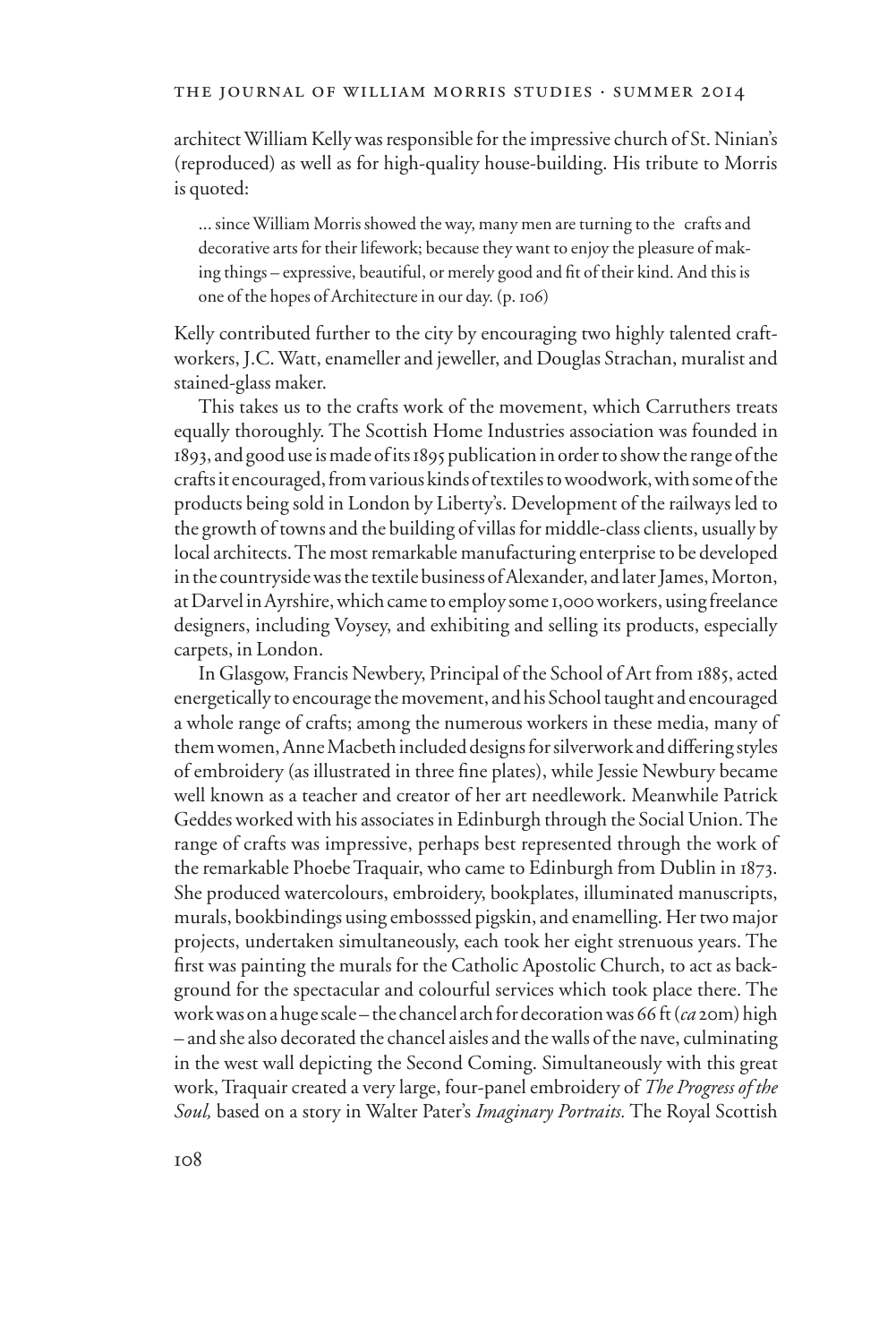architect William Kelly was responsible for the impressive church of St. Ninian's (reproduced) as well as for high-quality house-building. His tribute to Morris is quoted:

... since William Morris showed the way, many men are turning to the crafts and decorative arts for their lifework; because they want to enjoy the pleasure of making things – expressive, beautiful, or merely good and fit of their kind. And this is one of the hopes of Architecture in our day. (p. 106)

Kelly contributed further to the city by encouraging two highly talented craftworkers, J.C. Watt, enameller and jeweller, and Douglas Strachan, muralist and stained-glass maker.

This takes us to the crafts work of the movement, which Carruthers treats equally thoroughly. The Scottish Home Industries association was founded in 1893, and good use is made of its 1895 publication in order to show the range of the crafts it encouraged, from various kinds of textiles to woodwork, with some of the products being sold in London by Liberty's. Development of the railways led to the growth of towns and the building of villas for middle-class clients, usually by local architects. The most remarkable manufacturing enterprise to be developed in the countryside was the textile business of Alexander, and later James, Morton, at Darvel in Ayrshire, which came to employ some 1,000 workers, using freelance designers, including Voysey, and exhibiting and selling its products, especially carpets, in London.

In Glasgow, Francis Newbery, Principal of the School of Art from 1885, acted energetically to encourage the movement, and his School taught and encouraged a whole range of crafts; among the numerous workers in these media, many of them women, Anne Macbeth included designs for silverwork and differing styles of embroidery (as illustrated in three fine plates), while Jessie Newbury became well known as a teacher and creator of her art needlework. Meanwhile Patrick Geddes worked with his associates in Edinburgh through the Social Union. The range of crafts was impressive, perhaps best represented through the work of the remarkable Phoebe Traquair, who came to Edinburgh from Dublin in 1873. She produced watercolours, embroidery, bookplates, illuminated manuscripts, murals, bookbindings using embosssed pigskin, and enamelling. Her two major projects, undertaken simultaneously, each took her eight strenuous years. The first was painting the murals for the Catholic Apostolic Church, to act as background for the spectacular and colourful services which took place there. The work was on a huge scale – the chancel arch for decoration was 66 ft (*ca* 20m) high – and she also decorated the chancel aisles and the walls of the nave, culminating in the west wall depicting the Second Coming. Simultaneously with this great work, Traquair created a very large, four-panel embroidery of *The Progress of the Soul,* based on a story in Walter Pater's *Imaginary Portraits.* The Royal Scottish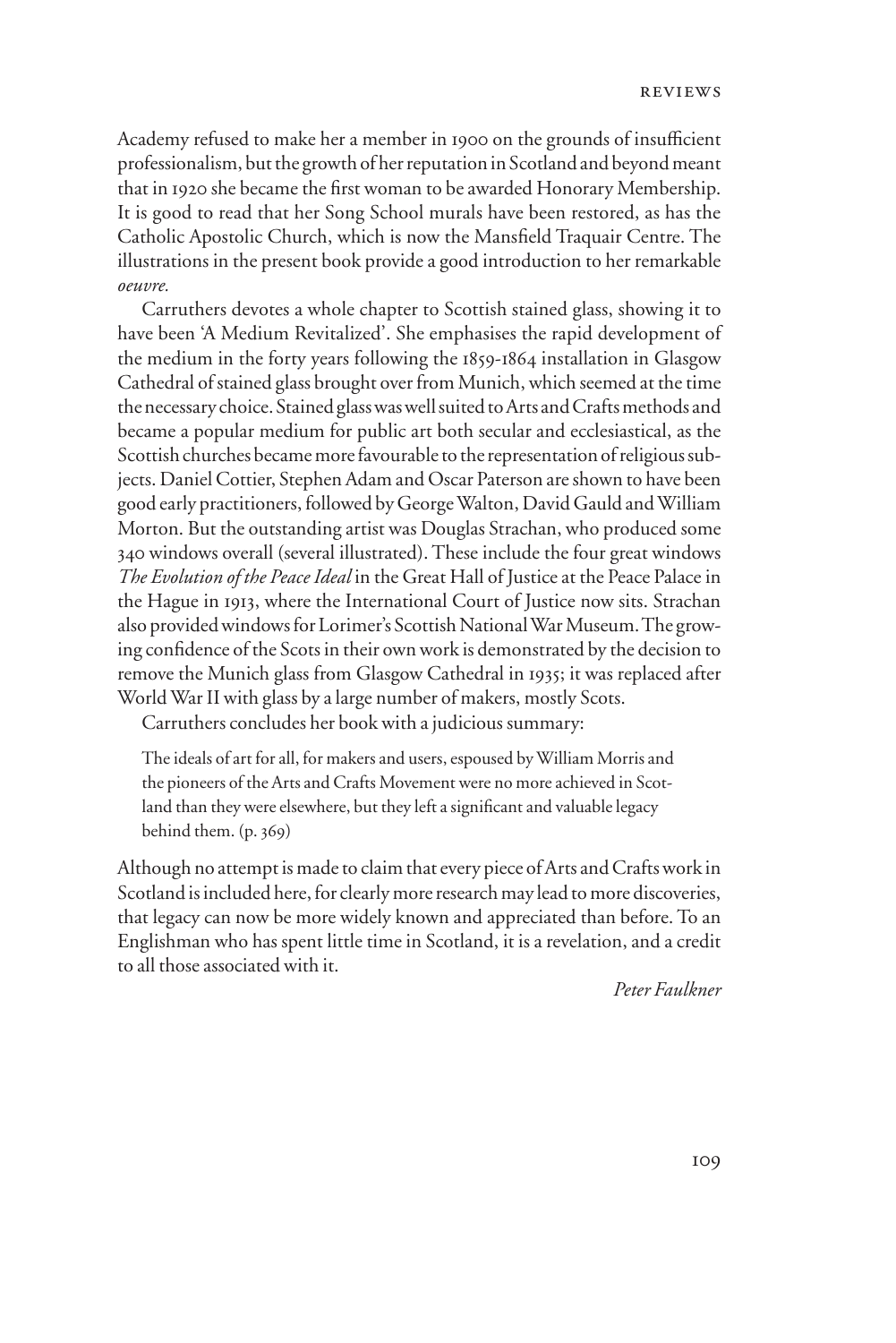Academy refused to make her a member in 1900 on the grounds of insufficient professionalism, but the growth of her reputation in Scotland and beyond meant that in 1920 she became the first woman to be awarded Honorary Membership. It is good to read that her Song School murals have been restored, as has the Catholic Apostolic Church, which is now the Mansfield Traquair Centre. The illustrations in the present book provide a good introduction to her remarkable *oeuvre.*

Carruthers devotes a whole chapter to Scottish stained glass, showing it to have been 'A Medium Revitalized'. She emphasises the rapid development of the medium in the forty years following the 1859-1864 installation in Glasgow Cathedral of stained glass brought over from Munich, which seemed at the time the necessary choice. Stained glass was well suited to Arts and Crafts methods and became a popular medium for public art both secular and ecclesiastical, as the Scottish churches became more favourable to the representation of religious subjects. Daniel Cottier, Stephen Adam and Oscar Paterson are shown to have been good early practitioners, followed by George Walton, David Gauld and William Morton. But the outstanding artist was Douglas Strachan, who produced some 340 windows overall (several illustrated). These include the four great windows *The Evolution of the Peace Ideal* in the Great Hall of Justice at the Peace Palace in the Hague in 1913, where the International Court of Justice now sits. Strachan also provided windows for Lorimer's Scottish National War Museum. The growing confidence of the Scots in their own work is demonstrated by the decision to remove the Munich glass from Glasgow Cathedral in 1935; it was replaced after World War II with glass by a large number of makers, mostly Scots.

Carruthers concludes her book with a judicious summary:

The ideals of art for all, for makers and users, espoused by William Morris and the pioneers of the Arts and Crafts Movement were no more achieved in Scotland than they were elsewhere, but they left a significant and valuable legacy behind them. (p. 369)

Although no attempt is made to claim that every piece of Arts and Crafts work in Scotland is included here, for clearly more research may lead to more discoveries, that legacy can now be more widely known and appreciated than before. To an Englishman who has spent little time in Scotland, it is a revelation, and a credit to all those associated with it.

*Peter Faulkner*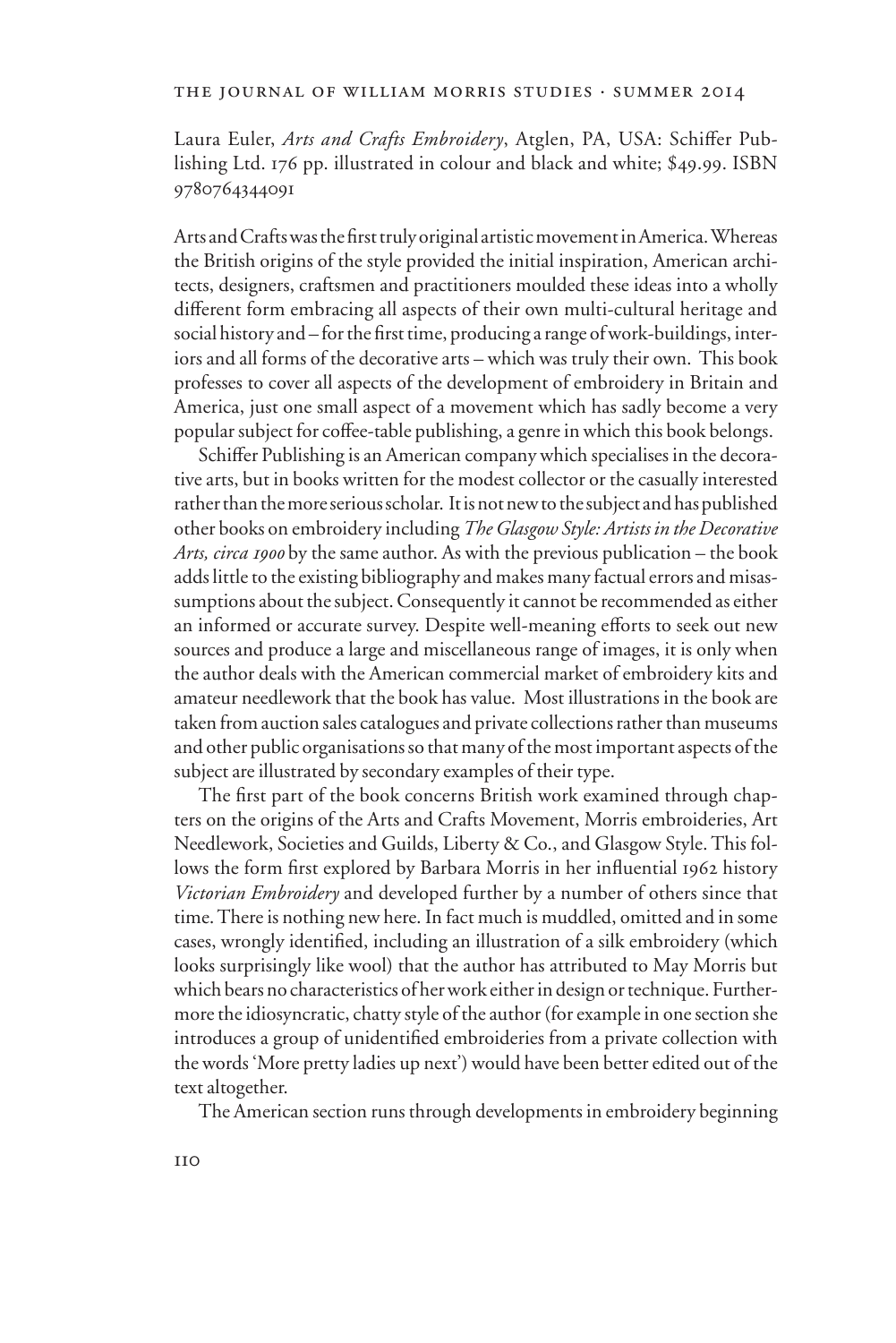## the journal of william morris studies . summer 2014

Laura Euler, *Arts and Crafts Embroidery*, Atglen, PA, USA: Schiffer Publishing Ltd. 176 pp. illustrated in colour and black and white; \$49.99. ISBN 9780764344091

Arts and Crafts was the first truly original artistic movement in America. Whereas the British origins of the style provided the initial inspiration, American architects, designers, craftsmen and practitioners moulded these ideas into a wholly different form embracing all aspects of their own multi-cultural heritage and social history and – for the first time, producing a range of work-buildings, interiors and all forms of the decorative arts – which was truly their own. This book professes to cover all aspects of the development of embroidery in Britain and America, just one small aspect of a movement which has sadly become a very popular subject for coffee-table publishing, a genre in which this book belongs.

Schiffer Publishing is an American company which specialises in the decorative arts, but in books written for the modest collector or the casually interested rather than the more serious scholar. It is not new to the subject and has published other books on embroidery including *The Glasgow Style: Artists in the Decorative Arts, circa 1900* by the same author. As with the previous publication – the book adds little to the existing bibliography and makes many factual errors and misassumptions about the subject. Consequently it cannot be recommended as either an informed or accurate survey. Despite well-meaning efforts to seek out new sources and produce a large and miscellaneous range of images, it is only when the author deals with the American commercial market of embroidery kits and amateur needlework that the book has value. Most illustrations in the book are taken from auction sales catalogues and private collections rather than museums and other public organisations so that many of the most important aspects of the subject are illustrated by secondary examples of their type.

The first part of the book concerns British work examined through chapters on the origins of the Arts and Crafts Movement, Morris embroideries, Art Needlework, Societies and Guilds, Liberty & Co., and Glasgow Style. This follows the form first explored by Barbara Morris in her influential 1962 history *Victorian Embroidery* and developed further by a number of others since that time.There is nothing new here. In fact much is muddled, omitted and in some cases, wrongly identified, including an illustration of a silk embroidery (which looks surprisingly like wool) that the author has attributed to May Morris but which bears no characteristics of her work either in design or technique. Furthermore the idiosyncratic, chatty style of the author (for example in one section she introduces a group of unidentified embroideries from a private collection with the words 'More pretty ladies up next') would have been better edited out of the text altogether.

The American section runs through developments in embroidery beginning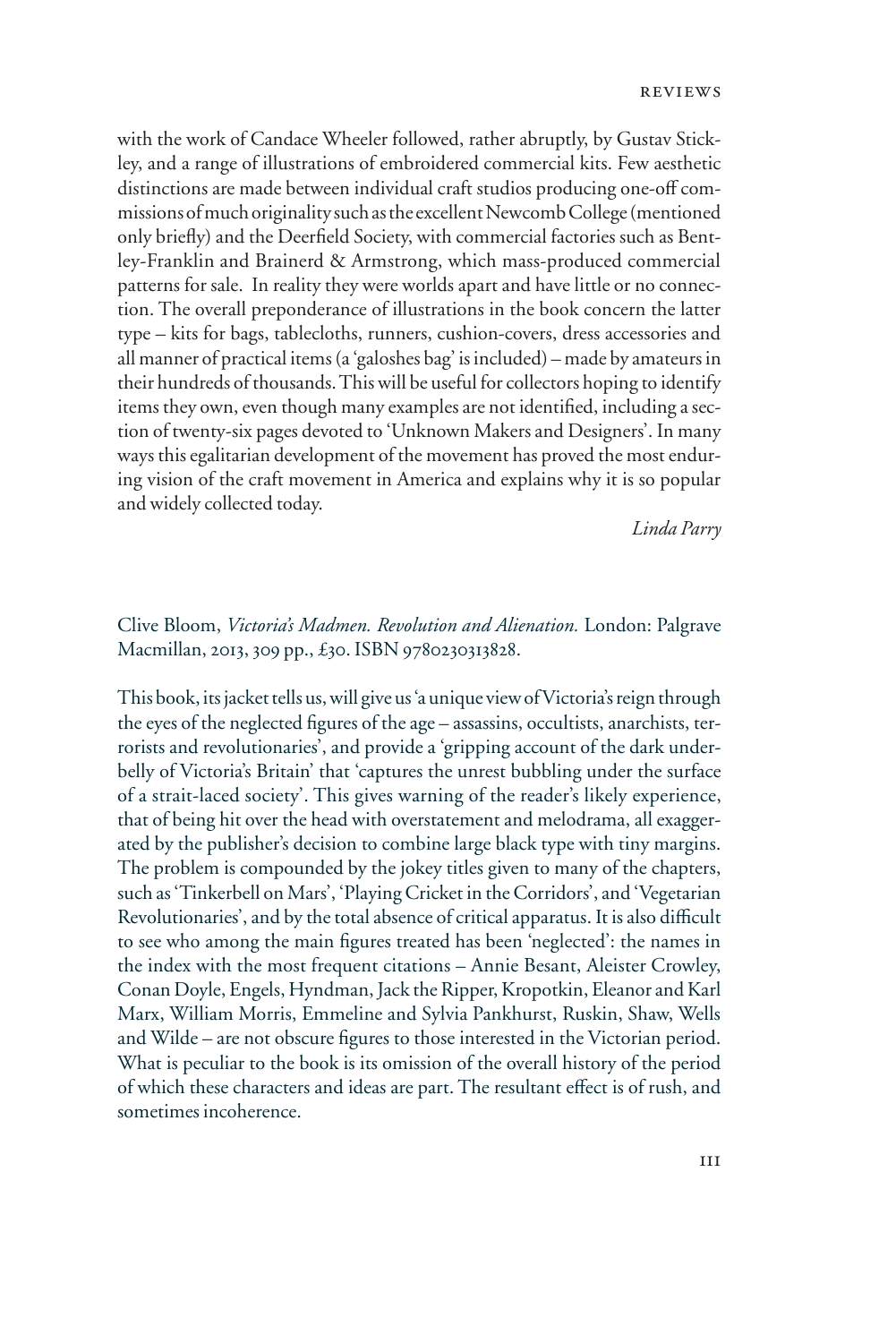with the work of Candace Wheeler followed, rather abruptly, by Gustav Stickley, and a range of illustrations of embroidered commercial kits. Few aesthetic distinctions are made between individual craft studios producing one-off commissions of much originality such as the excellent Newcomb College (mentioned only briefly) and the Deerfield Society, with commercial factories such as Bentley-Franklin and Brainerd & Armstrong, which mass-produced commercial patterns for sale. In reality they were worlds apart and have little or no connection. The overall preponderance of illustrations in the book concern the latter type – kits for bags, tablecloths, runners, cushion-covers, dress accessories and all manner of practical items (a 'galoshes bag' is included) – made by amateurs in their hundreds of thousands. This will be useful for collectors hoping to identify items they own, even though many examples are not identified, including a section of twenty-six pages devoted to 'Unknown Makers and Designers'. In many ways this egalitarian development of the movement has proved the most enduring vision of the craft movement in America and explains why it is so popular and widely collected today.

*Linda Parry*

## Clive Bloom, *Victoria's Madmen. Revolution and Alienation.* London: Palgrave Macmillan, 2013, 309 pp., £30. ISBN 9780230313828.

This book, its jacket tells us, will give us 'a unique view of Victoria's reign through the eyes of the neglected figures of the age – assassins, occultists, anarchists, terrorists and revolutionaries', and provide a 'gripping account of the dark underbelly of Victoria's Britain' that 'captures the unrest bubbling under the surface of a strait-laced society'. This gives warning of the reader's likely experience, that of being hit over the head with overstatement and melodrama, all exaggerated by the publisher's decision to combine large black type with tiny margins. The problem is compounded by the jokey titles given to many of the chapters, such as 'Tinkerbell on Mars', 'Playing Cricket in the Corridors', and 'Vegetarian Revolutionaries', and by the total absence of critical apparatus. It is also difficult to see who among the main figures treated has been 'neglected': the names in the index with the most frequent citations – Annie Besant, Aleister Crowley, Conan Doyle, Engels, Hyndman, Jack the Ripper, Kropotkin, Eleanor and Karl Marx, William Morris, Emmeline and Sylvia Pankhurst, Ruskin, Shaw, Wells and Wilde – are not obscure figures to those interested in the Victorian period. What is peculiar to the book is its omission of the overall history of the period of which these characters and ideas are part. The resultant effect is of rush, and sometimes incoherence.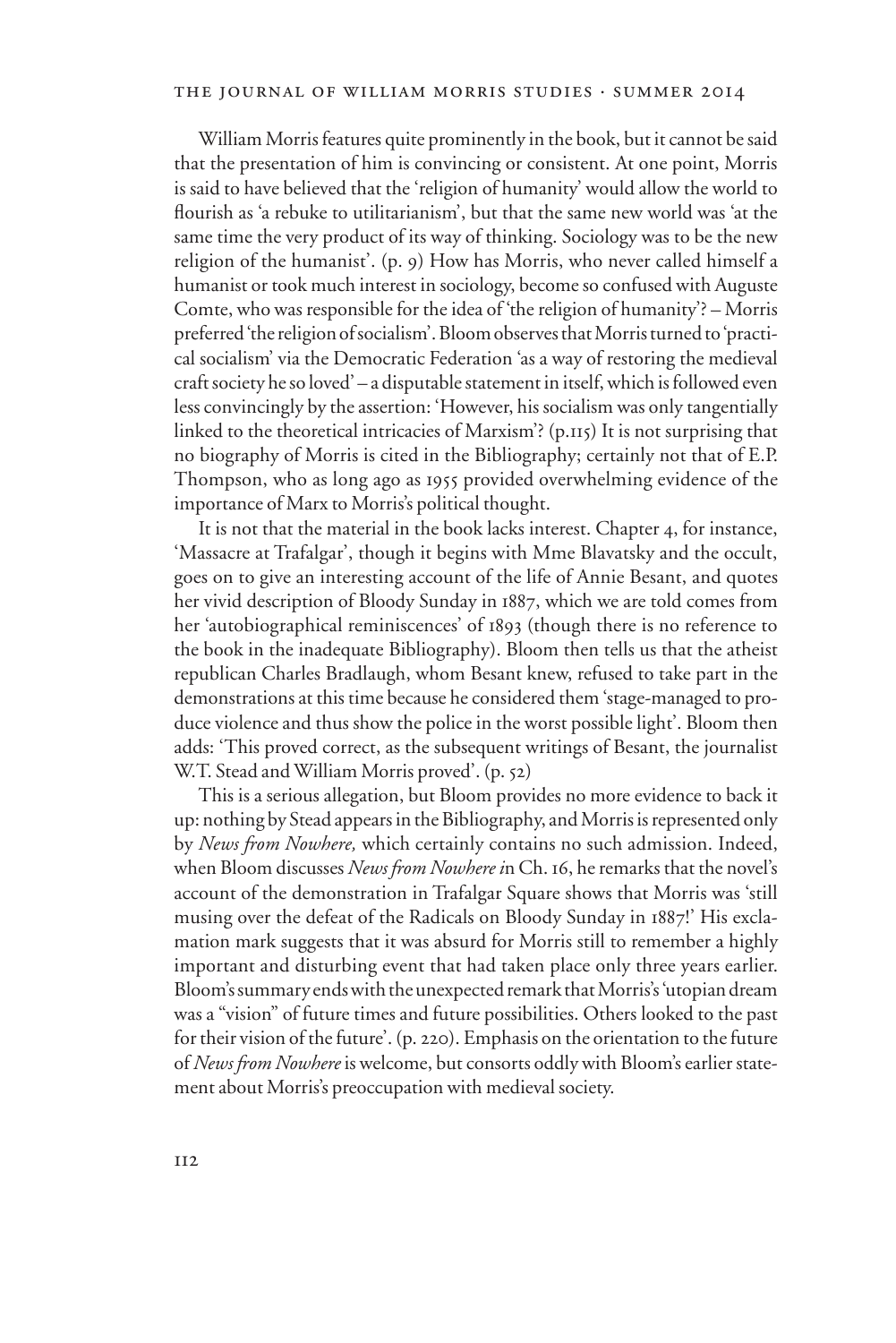## the journal of william morris studies . summer 2014

William Morris features quite prominently in the book, but it cannot be said that the presentation of him is convincing or consistent. At one point, Morris is said to have believed that the 'religion of humanity' would allow the world to flourish as 'a rebuke to utilitarianism', but that the same new world was 'at the same time the very product of its way of thinking. Sociology was to be the new religion of the humanist'. (p. 9) How has Morris, who never called himself a humanist or took much interest in sociology, become so confused with Auguste Comte, who was responsible for the idea of 'the religion of humanity'? – Morris preferred 'the religion of socialism'. Bloom observes that Morris turned to 'practical socialism' via the Democratic Federation 'as a way of restoring the medieval craft society he so loved' – a disputable statement in itself, which is followed even less convincingly by the assertion: 'However, his socialism was only tangentially linked to the theoretical intricacies of Marxism'? (p.115) It is not surprising that no biography of Morris is cited in the Bibliography; certainly not that of E.P. Thompson, who as long ago as 1955 provided overwhelming evidence of the importance of Marx to Morris's political thought.

It is not that the material in the book lacks interest. Chapter 4, for instance, 'Massacre at Trafalgar', though it begins with Mme Blavatsky and the occult, goes on to give an interesting account of the life of Annie Besant, and quotes her vivid description of Bloody Sunday in 1887, which we are told comes from her 'autobiographical reminiscences' of 1893 (though there is no reference to the book in the inadequate Bibliography). Bloom then tells us that the atheist republican Charles Bradlaugh, whom Besant knew, refused to take part in the demonstrations at this time because he considered them 'stage-managed to produce violence and thus show the police in the worst possible light'. Bloom then adds: 'This proved correct, as the subsequent writings of Besant, the journalist W.T. Stead and William Morris proved'. (p. 52)

This is a serious allegation, but Bloom provides no more evidence to back it up: nothing by Stead appears in the Bibliography, and Morris is represented only by *News from Nowhere,* which certainly contains no such admission. Indeed, when Bloom discusses *News from Nowhere i*n Ch. 16, he remarks that the novel's account of the demonstration in Trafalgar Square shows that Morris was 'still musing over the defeat of the Radicals on Bloody Sunday in 1887!' His exclamation mark suggests that it was absurd for Morris still to remember a highly important and disturbing event that had taken place only three years earlier. Bloom's summary ends with the unexpected remark that Morris's 'utopian dream was a "vision" of future times and future possibilities. Others looked to the past for their vision of the future'. (p. 220). Emphasis on the orientation to the future of *News from Nowhere* is welcome, but consorts oddly with Bloom's earlier statement about Morris's preoccupation with medieval society.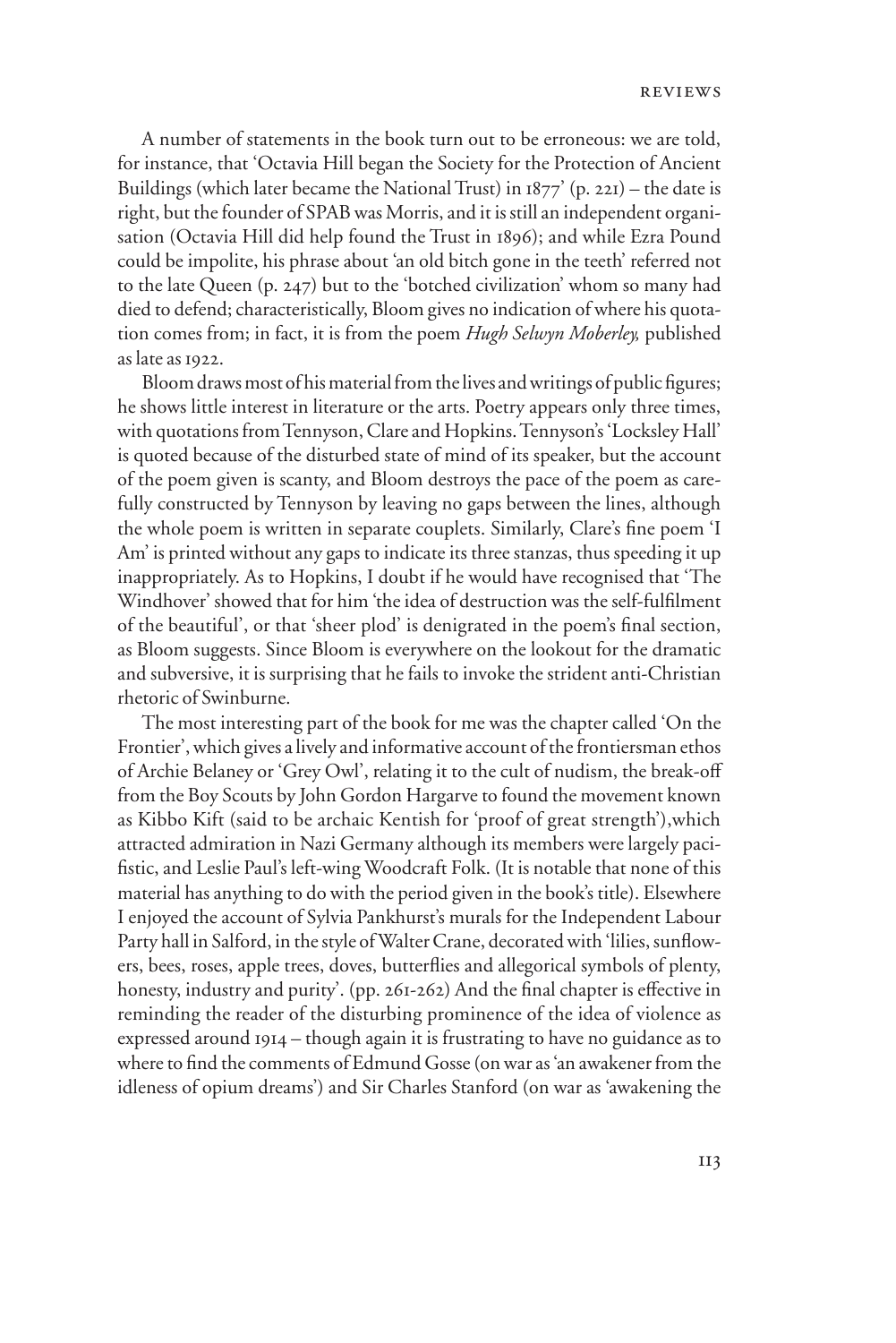A number of statements in the book turn out to be erroneous: we are told, for instance, that 'Octavia Hill began the Society for the Protection of Ancient Buildings (which later became the National Trust) in  $1877'$  (p. 221) – the date is right, but the founder of SPAB was Morris, and it is still an independent organisation (Octavia Hill did help found the Trust in 1896); and while Ezra Pound could be impolite, his phrase about 'an old bitch gone in the teeth' referred not to the late Queen (p. 247) but to the 'botched civilization' whom so many had died to defend; characteristically, Bloom gives no indication of where his quotation comes from; in fact, it is from the poem *Hugh Selwyn Moberley,* published as late as 1922.

Bloom draws most of his material from the lives and writings of public figures; he shows little interest in literature or the arts. Poetry appears only three times, with quotations from Tennyson, Clare and Hopkins. Tennyson's 'Locksley Hall' is quoted because of the disturbed state of mind of its speaker, but the account of the poem given is scanty, and Bloom destroys the pace of the poem as carefully constructed by Tennyson by leaving no gaps between the lines, although the whole poem is written in separate couplets. Similarly, Clare's fine poem 'I Am' is printed without any gaps to indicate its three stanzas, thus speeding it up inappropriately. As to Hopkins, I doubt if he would have recognised that 'The Windhover' showed that for him 'the idea of destruction was the self-fulfilment of the beautiful', or that 'sheer plod' is denigrated in the poem's final section, as Bloom suggests. Since Bloom is everywhere on the lookout for the dramatic and subversive, it is surprising that he fails to invoke the strident anti-Christian rhetoric of Swinburne.

The most interesting part of the book for me was the chapter called 'On the Frontier', which gives a lively and informative account of the frontiersman ethos of Archie Belaney or 'Grey Owl', relating it to the cult of nudism, the break-off from the Boy Scouts by John Gordon Hargarve to found the movement known as Kibbo Kift (said to be archaic Kentish for 'proof of great strength'),which attracted admiration in Nazi Germany although its members were largely pacifistic, and Leslie Paul's left-wing Woodcraft Folk. (It is notable that none of this material has anything to do with the period given in the book's title). Elsewhere I enjoyed the account of Sylvia Pankhurst's murals for the Independent Labour Party hall in Salford, in the style of Walter Crane, decorated with 'lilies, sunflowers, bees, roses, apple trees, doves, butterflies and allegorical symbols of plenty, honesty, industry and purity'. (pp. 261-262) And the final chapter is effective in reminding the reader of the disturbing prominence of the idea of violence as expressed around 1914 – though again it is frustrating to have no guidance as to where to find the comments of Edmund Gosse (on war as 'an awakener from the idleness of opium dreams') and Sir Charles Stanford (on war as 'awakening the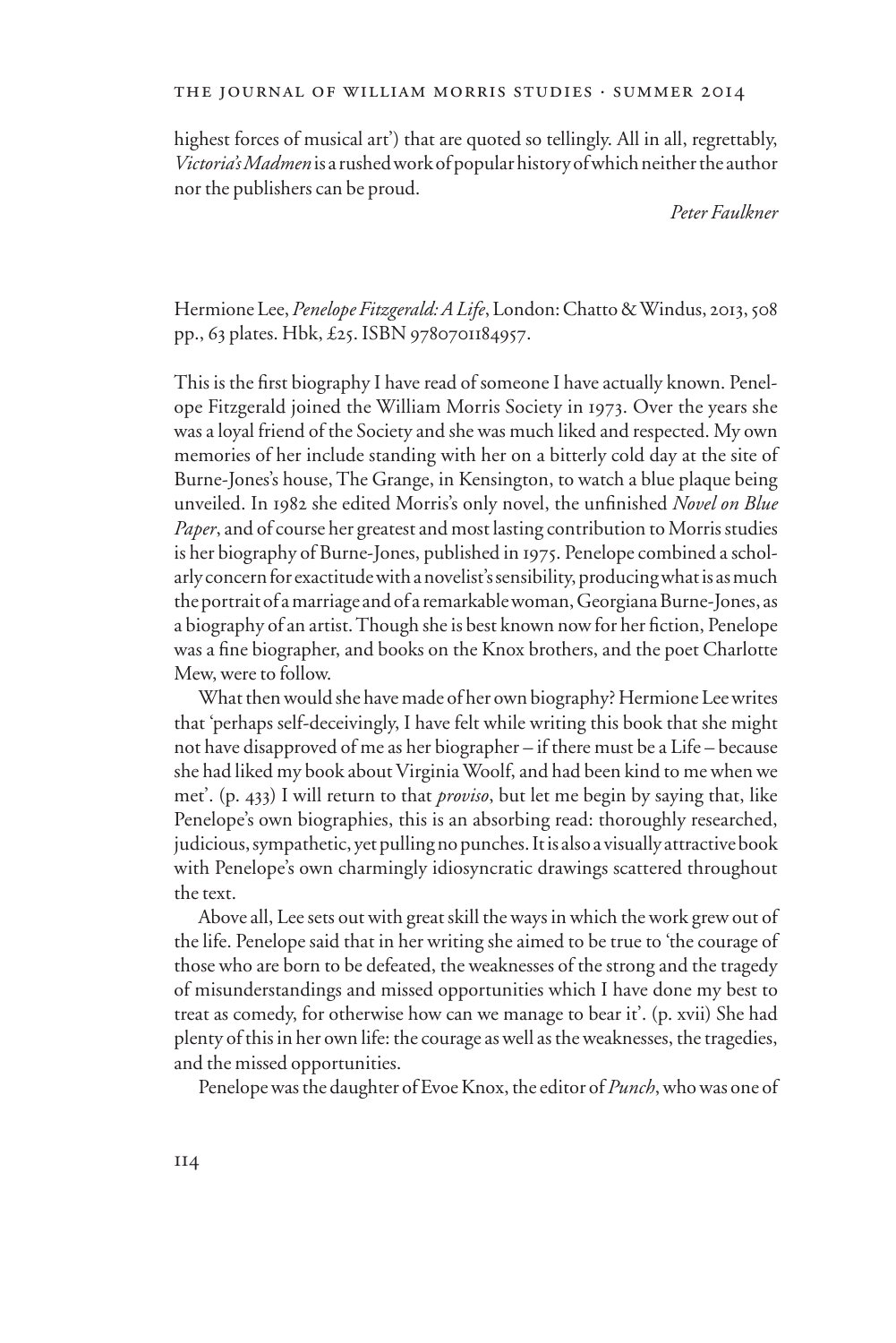highest forces of musical art') that are quoted so tellingly. All in all, regrettably, *Victoria's Madmen* is a rushed work of popular history of which neither the author nor the publishers can be proud.

*Peter Faulkner* 

Hermione Lee, *Penelope Fitzgerald: A Life*, London: Chatto & Windus, 2013, 508 pp., 63 plates. Hbk, £25. ISBN 9780701184957.

This is the first biography I have read of someone I have actually known. Penelope Fitzgerald joined the William Morris Society in 1973. Over the years she was a loyal friend of the Society and she was much liked and respected. My own memories of her include standing with her on a bitterly cold day at the site of Burne-Jones's house, The Grange, in Kensington, to watch a blue plaque being unveiled. In 1982 she edited Morris's only novel, the unfinished *Novel on Blue Paper*, and of course her greatest and most lasting contribution to Morris studies is her biography of Burne-Jones, published in 1975. Penelope combined a scholarly concern for exactitude with a novelist's sensibility, producing what is as much the portrait of a marriage and of a remarkable woman, Georgiana Burne-Jones, as a biography of an artist. Though she is best known now for her fiction, Penelope was a fine biographer, and books on the Knox brothers, and the poet Charlotte Mew, were to follow.

What then would she have made of her own biography? Hermione Lee writes that 'perhaps self-deceivingly, I have felt while writing this book that she might not have disapproved of me as her biographer – if there must be a Life – because she had liked my book about Virginia Woolf, and had been kind to me when we met'. (p. 433) I will return to that *proviso*, but let me begin by saying that, like Penelope's own biographies, this is an absorbing read: thoroughly researched, judicious, sympathetic, yet pulling no punches. It is also a visually attractive book with Penelope's own charmingly idiosyncratic drawings scattered throughout the text.

Above all, Lee sets out with great skill the ways in which the work grew out of the life. Penelope said that in her writing she aimed to be true to 'the courage of those who are born to be defeated, the weaknesses of the strong and the tragedy of misunderstandings and missed opportunities which I have done my best to treat as comedy, for otherwise how can we manage to bear it'. (p. xvii) She had plenty of this in her own life: the courage as well as the weaknesses, the tragedies, and the missed opportunities.

Penelope was the daughter of Evoe Knox, the editor of *Punch*, who was one of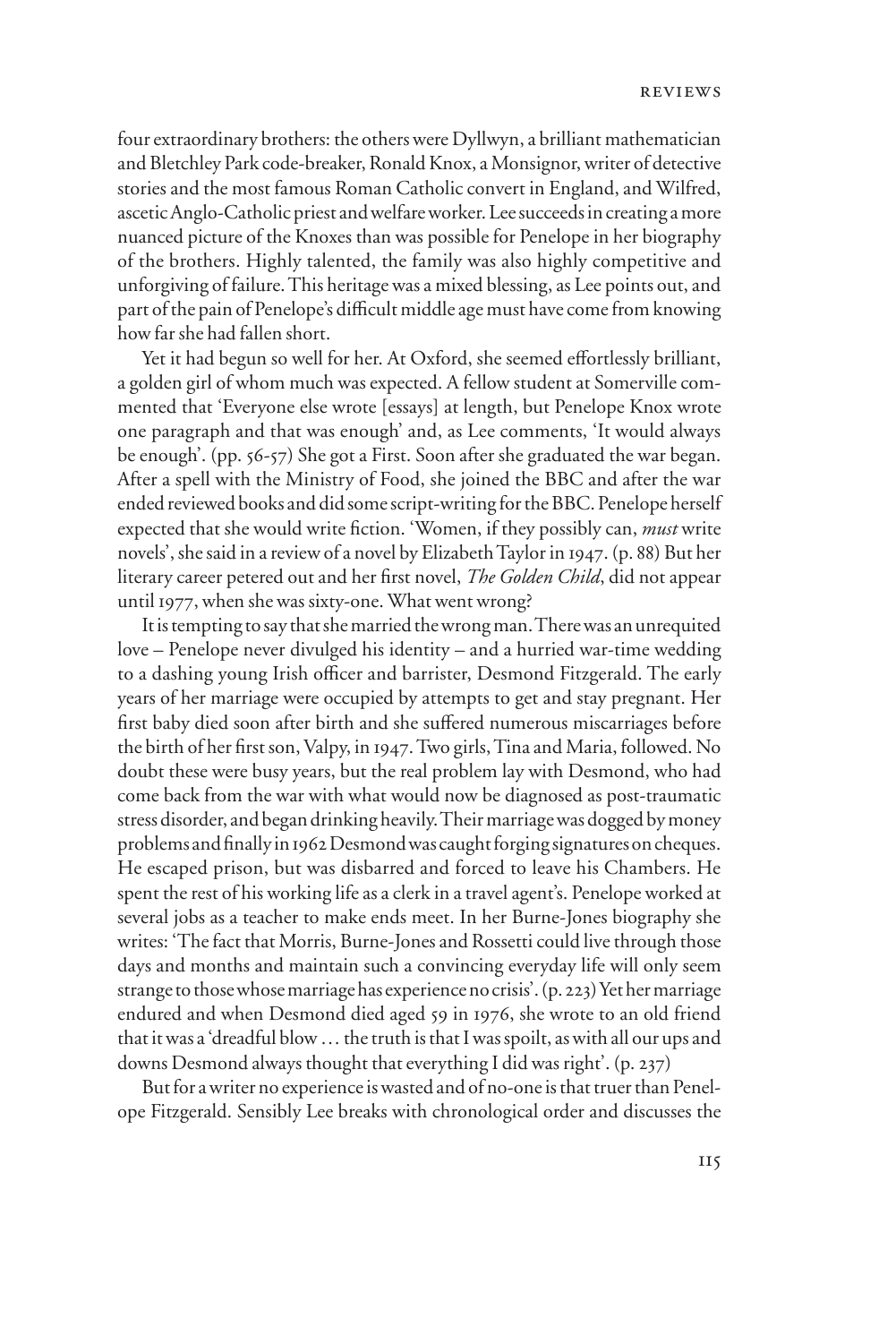four extraordinary brothers: the others were Dyllwyn, a brilliant mathematician and Bletchley Park code-breaker, Ronald Knox, a Monsignor, writer of detective stories and the most famous Roman Catholic convert in England, and Wilfred, ascetic Anglo-Catholic priest and welfare worker. Lee succeeds in creating a more nuanced picture of the Knoxes than was possible for Penelope in her biography of the brothers. Highly talented, the family was also highly competitive and unforgiving of failure. This heritage was a mixed blessing, as Lee points out, and part of the pain of Penelope's difficult middle age must have come from knowing how far she had fallen short.

Yet it had begun so well for her. At Oxford, she seemed effortlessly brilliant, a golden girl of whom much was expected. A fellow student at Somerville commented that 'Everyone else wrote [essays] at length, but Penelope Knox wrote one paragraph and that was enough' and, as Lee comments, 'It would always be enough'. (pp. 56-57) She got a First. Soon after she graduated the war began. After a spell with the Ministry of Food, she joined the BBC and after the war ended reviewed books and did some script-writing for the BBC. Penelope herself expected that she would write fiction. 'Women, if they possibly can, *must* write novels', she said in a review of a novel by Elizabeth Taylor in 1947. (p. 88) But her literary career petered out and her first novel, *The Golden Child*, did not appear until 1977, when she was sixty-one. What went wrong?

It is tempting to say that she married the wrong man. There was an unrequited love – Penelope never divulged his identity – and a hurried war-time wedding to a dashing young Irish officer and barrister, Desmond Fitzgerald. The early years of her marriage were occupied by attempts to get and stay pregnant. Her first baby died soon after birth and she suffered numerous miscarriages before the birth of her first son, Valpy, in 1947. Two girls, Tina and Maria, followed. No doubt these were busy years, but the real problem lay with Desmond, who had come back from the war with what would now be diagnosed as post-traumatic stress disorder, and began drinking heavily. Their marriage was dogged by money problems and finally in 1962 Desmond was caught forging signatures on cheques. He escaped prison, but was disbarred and forced to leave his Chambers. He spent the rest of his working life as a clerk in a travel agent's. Penelope worked at several jobs as a teacher to make ends meet. In her Burne-Jones biography she writes: 'The fact that Morris, Burne-Jones and Rossetti could live through those days and months and maintain such a convincing everyday life will only seem strange to those whose marriage has experience no crisis'. (p. 223) Yet her marriage endured and when Desmond died aged 59 in 1976, she wrote to an old friend that it was a 'dreadful blow … the truth is that I was spoilt, as with all our ups and downs Desmond always thought that everything I did was right'. (p. 237)

But for a writer no experience is wasted and of no-one is that truer than Penelope Fitzgerald. Sensibly Lee breaks with chronological order and discusses the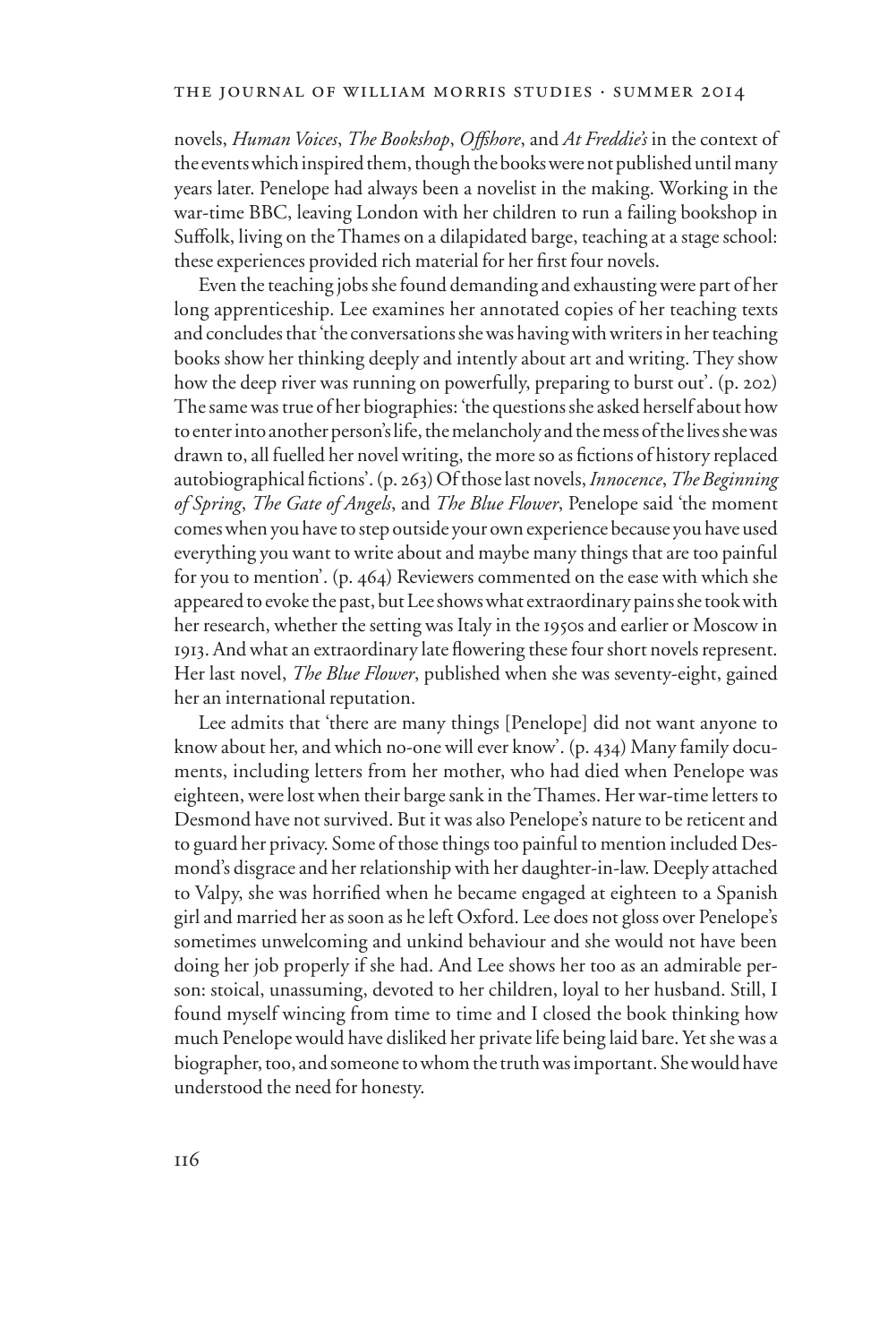#### the journal of william morris studies . summer 2014

novels, *Human Voices*, *The Bookshop*, *OVshore*, and *At Freddie's* in the context of the events which inspired them, though the books were not published until many years later. Penelope had always been a novelist in the making. Working in the war-time BBC, leaving London with her children to run a failing bookshop in Suffolk, living on the Thames on a dilapidated barge, teaching at a stage school: these experiences provided rich material for her first four novels.

Even the teaching jobs she found demanding and exhausting were part of her long apprenticeship. Lee examines her annotated copies of her teaching texts and concludes that 'the conversations she was having with writers in her teaching books show her thinking deeply and intently about art and writing. They show how the deep river was running on powerfully, preparing to burst out'. (p. 202) The same was true of her biographies: 'the questions she asked herself about how to enter into another person's life, the melancholy and the mess of the lives she was drawn to, all fuelled her novel writing, the more so as fictions of history replaced autobiographical fictions'. (p. 263) Of those last novels, *Innocence*, *The Beginning of Spring*, *The Gate of Angels*, and *The Blue Flower*, Penelope said 'the moment comes when you have to step outside your own experience because you have used everything you want to write about and maybe many things that are too painful for you to mention'. (p. 464) Reviewers commented on the ease with which she appeared to evoke the past, but Lee shows what extraordinary pains she took with her research, whether the setting was Italy in the 1950s and earlier or Moscow in 1913. And what an extraordinary late flowering these four short novels represent. Her last novel, *The Blue Flower*, published when she was seventy-eight, gained her an international reputation.

Lee admits that 'there are many things [Penelope] did not want anyone to know about her, and which no-one will ever know'. (p. 434) Many family documents, including letters from her mother, who had died when Penelope was eighteen, were lost when their barge sank in the Thames. Her war-time letters to Desmond have not survived. But it was also Penelope's nature to be reticent and to guard her privacy. Some of those things too painful to mention included Desmond's disgrace and her relationship with her daughter-in-law. Deeply attached to Valpy, she was horrified when he became engaged at eighteen to a Spanish girl and married her as soon as he left Oxford. Lee does not gloss over Penelope's sometimes unwelcoming and unkind behaviour and she would not have been doing her job properly if she had. And Lee shows her too as an admirable person: stoical, unassuming, devoted to her children, loyal to her husband. Still, I found myself wincing from time to time and I closed the book thinking how much Penelope would have disliked her private life being laid bare. Yet she was a biographer, too, and someone to whom the truth was important. She would have understood the need for honesty.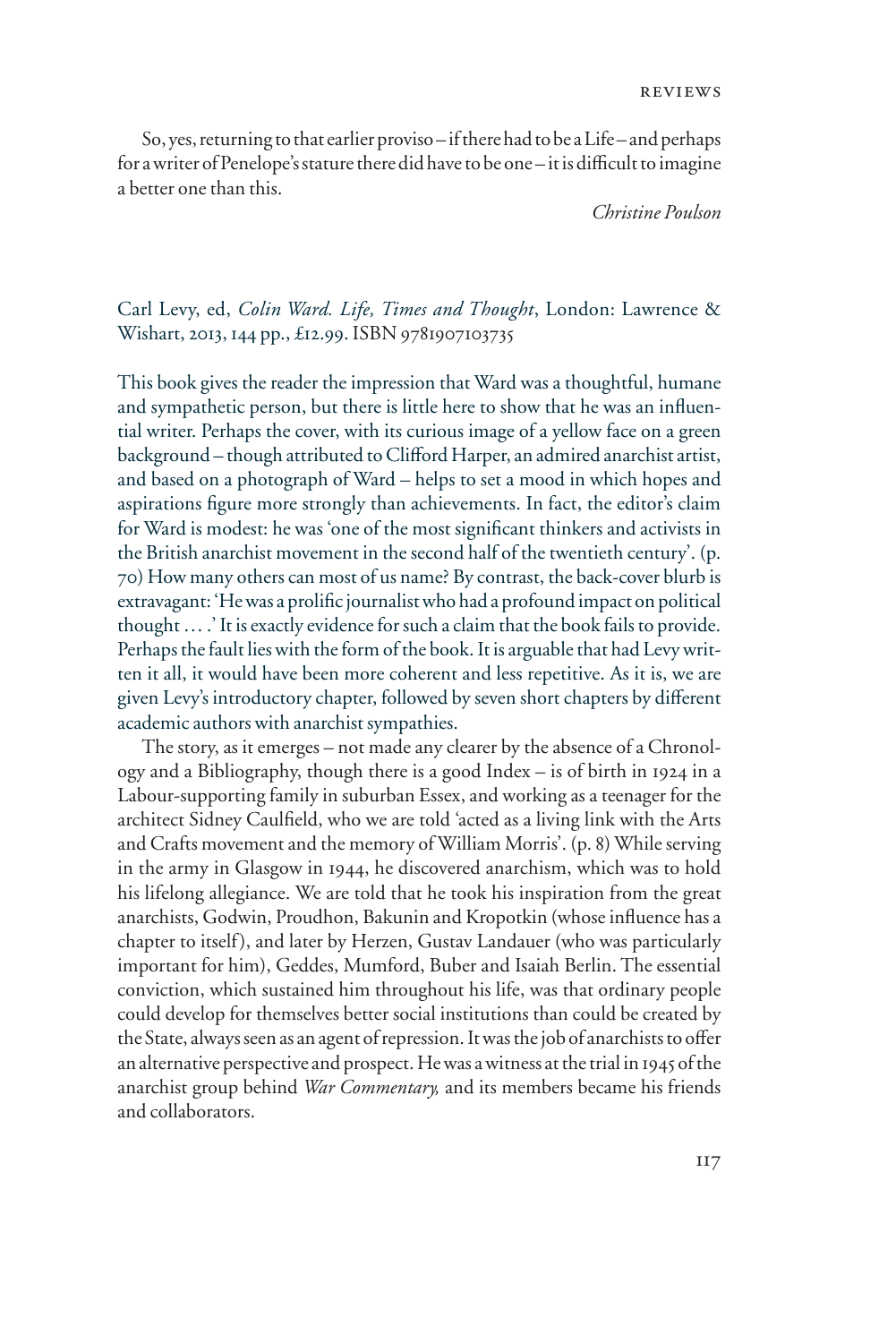So, yes, returning to that earlier proviso – if there had to be a Life – and perhaps for a writer of Penelope's stature there did have to be one - it is difficult to imagine a better one than this.

*Christine Poulson*

## Carl Levy, ed, *Colin Ward. Life, Times and Thought*, London: Lawrence & Wishart, 2013, 144 pp., £12.99. ISBN 9781907103735

This book gives the reader the impression that Ward was a thoughtful, humane and sympathetic person, but there is little here to show that he was an influential writer. Perhaps the cover, with its curious image of a yellow face on a green background – though attributed to Clifford Harper, an admired anarchist artist, and based on a photograph of Ward – helps to set a mood in which hopes and aspirations figure more strongly than achievements. In fact, the editor's claim for Ward is modest: he was 'one of the most significant thinkers and activists in the British anarchist movement in the second half of the twentieth century'. (p. 70) How many others can most of us name? By contrast, the back-cover blurb is extravagant: 'He was a prolific journalist who had a profound impact on political thought … .' It is exactly evidence for such a claim that the book fails to provide. Perhaps the fault lies with the form of the book. It is arguable that had Levy written it all, it would have been more coherent and less repetitive. As it is, we are given Levy's introductory chapter, followed by seven short chapters by different academic authors with anarchist sympathies.

The story, as it emerges – not made any clearer by the absence of a Chronology and a Bibliography, though there is a good Index – is of birth in 1924 in a Labour-supporting family in suburban Essex, and working as a teenager for the architect Sidney Caulfield, who we are told 'acted as a living link with the Arts and Crafts movement and the memory of William Morris'. (p. 8) While serving in the army in Glasgow in 1944, he discovered anarchism, which was to hold his lifelong allegiance. We are told that he took his inspiration from the great anarchists, Godwin, Proudhon, Bakunin and Kropotkin (whose influence has a chapter to itself), and later by Herzen, Gustav Landauer (who was particularly important for him), Geddes, Mumford, Buber and Isaiah Berlin. The essential conviction, which sustained him throughout his life, was that ordinary people could develop for themselves better social institutions than could be created by the State, always seen as an agent of repression. It was the job of anarchists to offer an alternative perspective and prospect. He was a witness at the trial in 1945 of the anarchist group behind *War Commentary,* and its members became his friends and collaborators.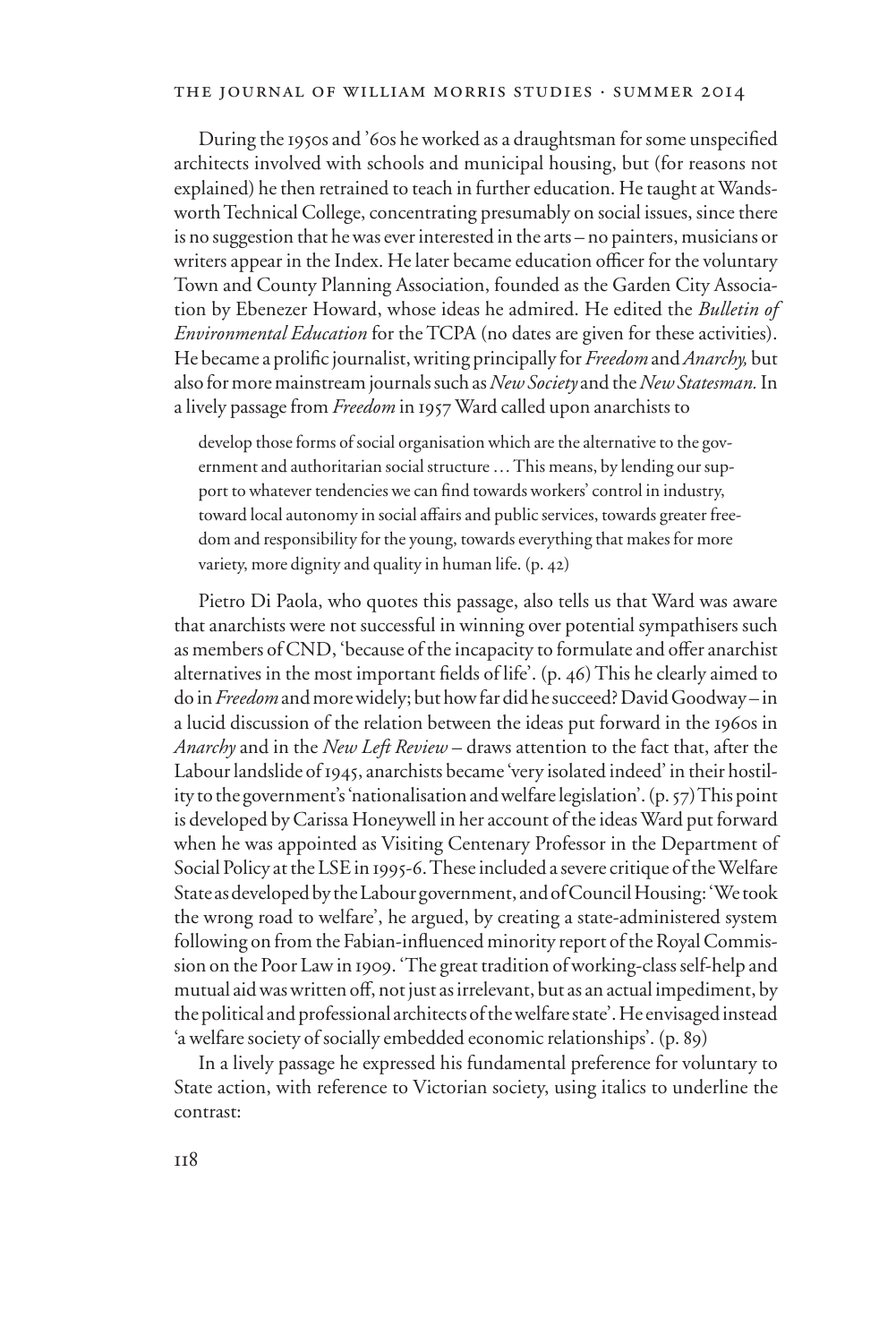During the 1950s and '60s he worked as a draughtsman for some unspecified architects involved with schools and municipal housing, but (for reasons not explained) he then retrained to teach in further education. He taught at Wandsworth Technical College, concentrating presumably on social issues, since there is no suggestion that he was ever interested in the arts – no painters, musicians or writers appear in the Index. He later became education officer for the voluntary Town and County Planning Association, founded as the Garden City Association by Ebenezer Howard, whose ideas he admired. He edited the *Bulletin of Environmental Education* for the TCPA (no dates are given for these activities). He became a prolific journalist, writing principally for *Freedom* and *Anarchy*, but also for more mainstream journals such as *New Society* and the *New Statesman.* In a lively passage from *Freedom* in 1957 Ward called upon anarchists to

develop those forms of social organisation which are the alternative to the government and authoritarian social structure … This means, by lending our support to whatever tendencies we can find towards workers' control in industry, toward local autonomy in social affairs and public services, towards greater freedom and responsibility for the young, towards everything that makes for more variety, more dignity and quality in human life. (p. 42)

Pietro Di Paola, who quotes this passage, also tells us that Ward was aware that anarchists were not successful in winning over potential sympathisers such as members of CND, 'because of the incapacity to formulate and offer anarchist alternatives in the most important fields of life'. (p. 46) This he clearly aimed to do in *Freedom* and more widely; but how far did he succeed? David Goodway – in a lucid discussion of the relation between the ideas put forward in the 1960s in *Anarchy* and in the *New Left Review* – draws attention to the fact that, after the Labour landslide of 1945, anarchists became 'very isolated indeed' in their hostility to the government's 'nationalisation and welfare legislation'. (p. 57) This point is developed by Carissa Honeywell in her account of the ideas Ward put forward when he was appointed as Visiting Centenary Professor in the Department of Social Policy at the LSE in 1995-6. These included a severe critique of the Welfare State as developed by the Labour government, and of Council Housing: 'We took the wrong road to welfare', he argued, by creating a state-administered system following on from the Fabian-influenced minority report of the Royal Commission on the Poor Law in 1909. 'The great tradition of working-class self-help and mutual aid was written off, not just as irrelevant, but as an actual impediment, by the political and professional architects of the welfare state'. He envisaged instead 'a welfare society of socially embedded economic relationships'. (p. 89)

In a lively passage he expressed his fundamental preference for voluntary to State action, with reference to Victorian society, using italics to underline the contrast: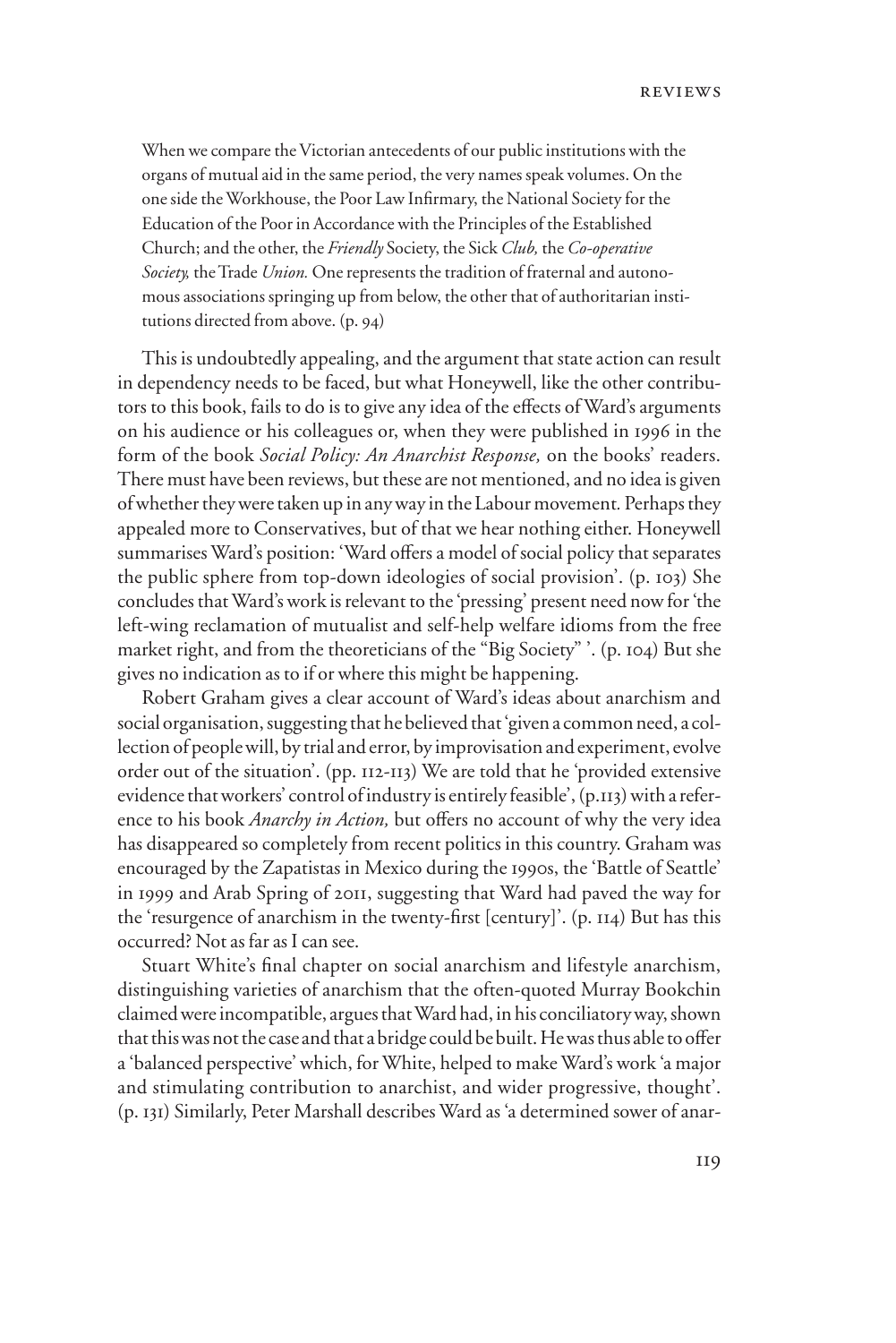When we compare the Victorian antecedents of our public institutions with the organs of mutual aid in the same period, the very names speak volumes. On the one side the Workhouse, the Poor Law Infirmary, the National Society for the Education of the Poor in Accordance with the Principles of the Established Church; and the other, the *Friendly* Society, the Sick *Club,* the *Co-operative Society,* the Trade *Union.* One represents the tradition of fraternal and autonomous associations springing up from below, the other that of authoritarian institutions directed from above. (p. 94)

This is undoubtedly appealing, and the argument that state action can result in dependency needs to be faced, but what Honeywell, like the other contributors to this book, fails to do is to give any idea of the effects of Ward's arguments on his audience or his colleagues or, when they were published in 1996 in the form of the book *Social Policy: An Anarchist Response,* on the books' readers. There must have been reviews, but these are not mentioned, and no idea is given of whether they were taken up in any way in the Labour movement*.* Perhaps they appealed more to Conservatives, but of that we hear nothing either. Honeywell summarises Ward's position: 'Ward offers a model of social policy that separates the public sphere from top-down ideologies of social provision'. (p. 103) She concludes that Ward's work is relevant to the 'pressing' present need now for 'the left-wing reclamation of mutualist and self-help welfare idioms from the free market right, and from the theoreticians of the "Big Society" '. (p. 104) But she gives no indication as to if or where this might be happening.

Robert Graham gives a clear account of Ward's ideas about anarchism and social organisation, suggesting that he believed that 'given a common need, a collection of people will, by trial and error, by improvisation and experiment, evolve order out of the situation'. (pp. 112-113) We are told that he 'provided extensive evidence that workers' control of industry is entirely feasible', (p.113) with a reference to his book *Anarchy in Action*, but offers no account of why the very idea has disappeared so completely from recent politics in this country. Graham was encouraged by the Zapatistas in Mexico during the 1990s, the 'Battle of Seattle' in 1999 and Arab Spring of 2011, suggesting that Ward had paved the way for the 'resurgence of anarchism in the twenty-first [century]'. (p.  $114$ ) But has this occurred? Not as far as I can see.

Stuart White's final chapter on social anarchism and lifestyle anarchism, distinguishing varieties of anarchism that the often-quoted Murray Bookchin claimed were incompatible, argues that Ward had, in his conciliatory way, shown that this was not the case and that a bridge could be built. He was thus able to offer a 'balanced perspective' which, for White, helped to make Ward's work 'a major and stimulating contribution to anarchist, and wider progressive, thought'. (p. 131) Similarly, Peter Marshall describes Ward as 'a determined sower of anar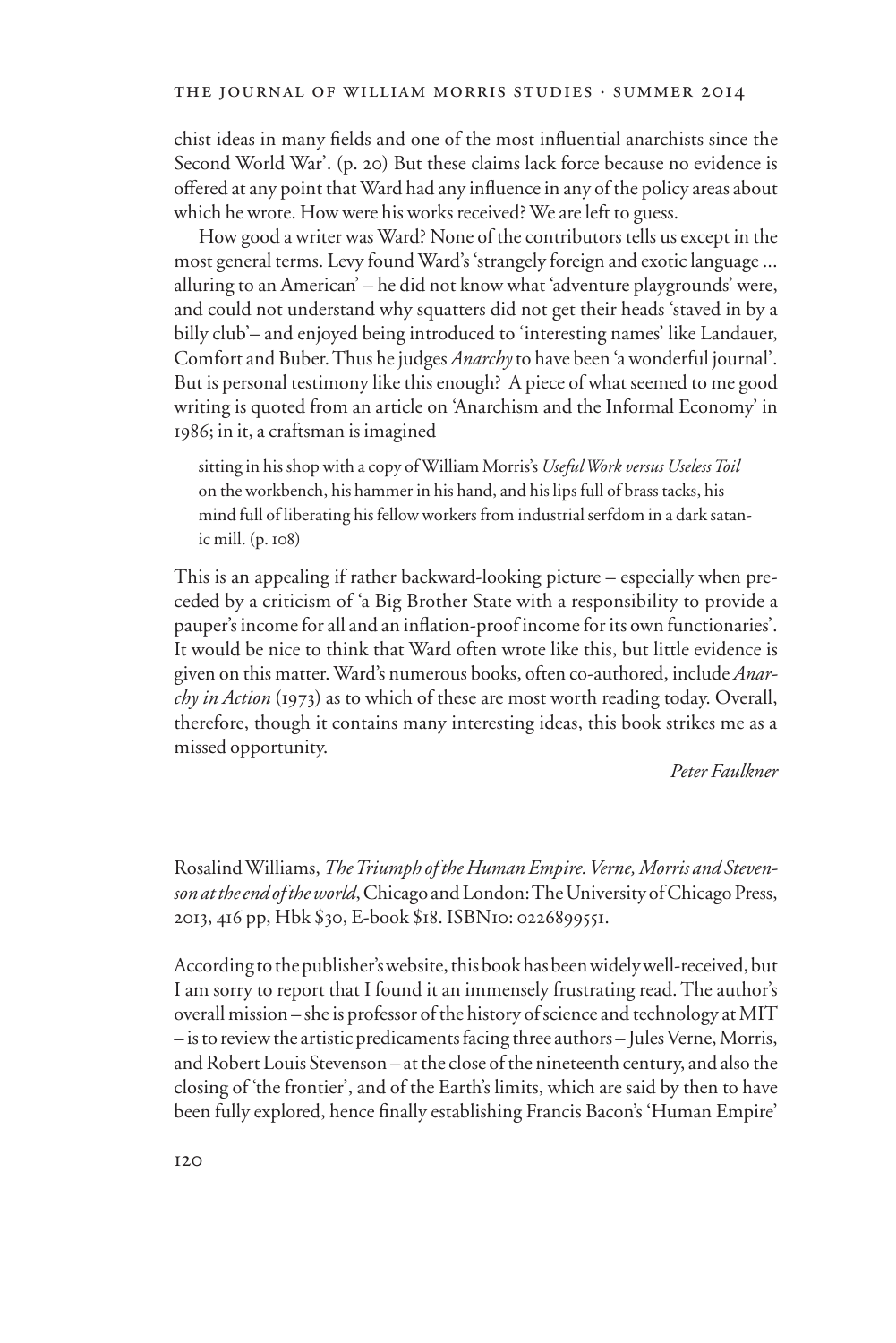chist ideas in many fields and one of the most influential anarchists since the Second World War'. (p. 20) But these claims lack force because no evidence is offered at any point that Ward had any influence in any of the policy areas about which he wrote. How were his works received? We are left to guess.

How good a writer was Ward? None of the contributors tells us except in the most general terms. Levy found Ward's 'strangely foreign and exotic language ... alluring to an American' – he did not know what 'adventure playgrounds' were, and could not understand why squatters did not get their heads 'staved in by a billy club'– and enjoyed being introduced to 'interesting names' like Landauer, Comfort and Buber. Thus he judges *Anarchy* to have been 'a wonderful journal'. But is personal testimony like this enough? A piece of what seemed to me good writing is quoted from an article on 'Anarchism and the Informal Economy' in 1986; in it, a craftsman is imagined

sitting in his shop with a copy of William Morris's *Useful Work versus Useless Toil*  on the workbench, his hammer in his hand, and his lips full of brass tacks, his mind full of liberating his fellow workers from industrial serfdom in a dark satanic mill. (p. 108)

This is an appealing if rather backward-looking picture – especially when preceded by a criticism of 'a Big Brother State with a responsibility to provide a pauper's income for all and an inflation-proof income for its own functionaries'. It would be nice to think that Ward often wrote like this, but little evidence is given on this matter. Ward's numerous books, often co-authored, include *Anarchy in Action* (1973) as to which of these are most worth reading today. Overall, therefore, though it contains many interesting ideas, this book strikes me as a missed opportunity.

*Peter Faulkner*

Rosalind Williams, *The Triumph of the Human Empire. Verne, Morris and Stevenson at the end of the world*, Chicago and London: The University of Chicago Press, 2013, 416 pp, Hbk \$30, E-book \$18. ISBN10: 0226899551.

According to the publisher's website, this book has been widely well-received, but I am sorry to report that I found it an immensely frustrating read. The author's overall mission – she is professor of the history of science and technology at MIT – is to review the artistic predicaments facing three authors – Jules Verne, Morris, and Robert Louis Stevenson – at the close of the nineteenth century, and also the closing of 'the frontier', and of the Earth's limits, which are said by then to have been fully explored, hence finally establishing Francis Bacon's 'Human Empire'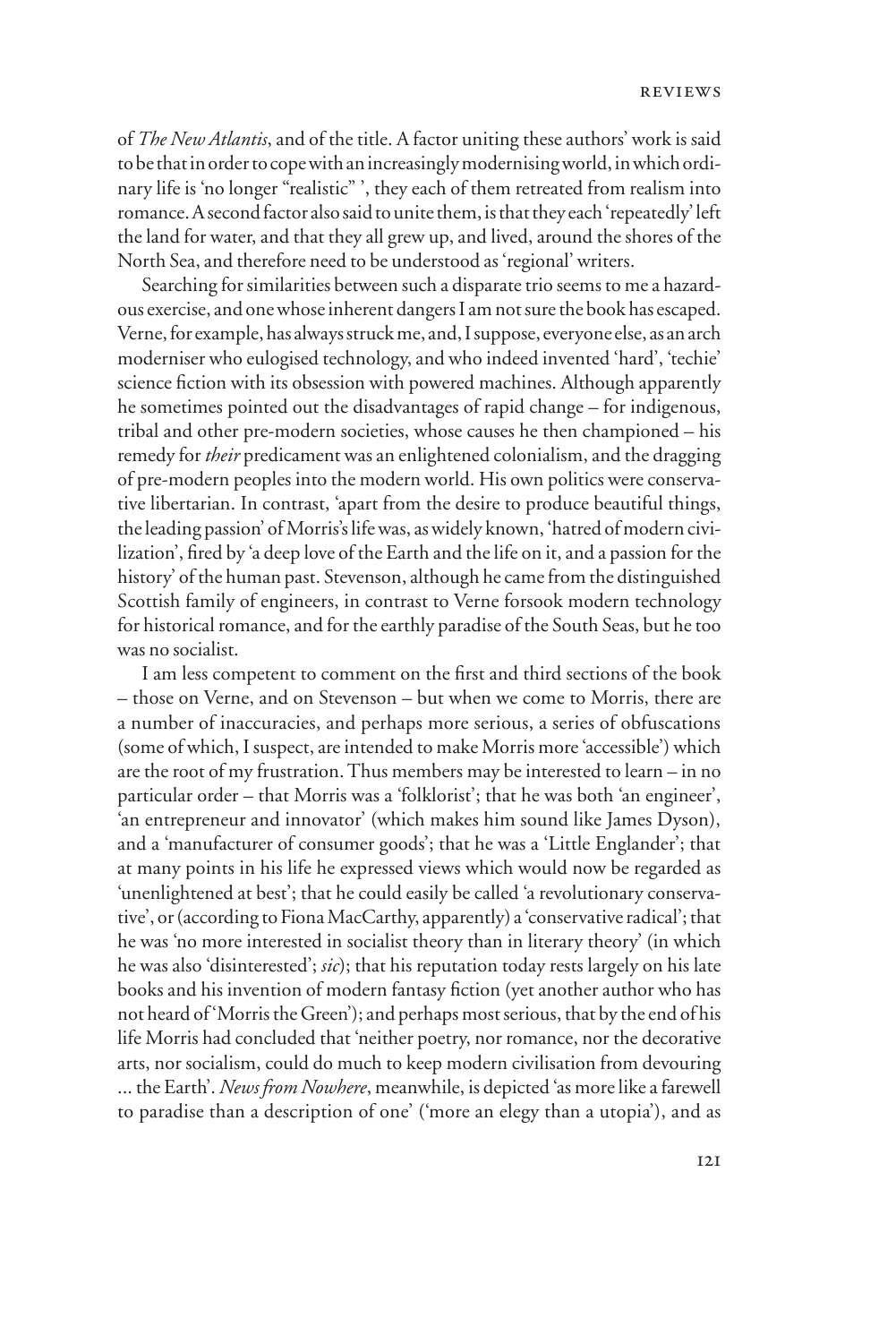of *The New Atlantis*, and of the title. A factor uniting these authors' work is said to be that in order to cope with an increasingly modernising world, in which ordinary life is 'no longer "realistic" ', they each of them retreated from realism into romance. A second factor also said to unite them, is that they each 'repeatedly' left the land for water, and that they all grew up, and lived, around the shores of the North Sea, and therefore need to be understood as 'regional' writers.

Searching for similarities between such a disparate trio seems to me a hazardous exercise, and one whose inherent dangers I am not sure the book has escaped. Verne, for example, has always struck me, and, I suppose, everyone else, as an arch moderniser who eulogised technology, and who indeed invented 'hard', 'techie' science fiction with its obsession with powered machines. Although apparently he sometimes pointed out the disadvantages of rapid change – for indigenous, tribal and other pre-modern societies, whose causes he then championed – his remedy for *their* predicament was an enlightened colonialism, and the dragging of pre-modern peoples into the modern world. His own politics were conservative libertarian. In contrast, 'apart from the desire to produce beautiful things, the leading passion' of Morris's life was, as widely known, 'hatred of modern civilization', fired by 'a deep love of the Earth and the life on it, and a passion for the history' of the human past. Stevenson, although he came from the distinguished Scottish family of engineers, in contrast to Verne forsook modern technology for historical romance, and for the earthly paradise of the South Seas, but he too was no socialist.

I am less competent to comment on the first and third sections of the book – those on Verne, and on Stevenson – but when we come to Morris, there are a number of inaccuracies, and perhaps more serious, a series of obfuscations (some of which, I suspect, are intended to make Morris more 'accessible') which are the root of my frustration. Thus members may be interested to learn – in no particular order – that Morris was a 'folklorist'; that he was both 'an engineer', 'an entrepreneur and innovator' (which makes him sound like James Dyson), and a 'manufacturer of consumer goods'; that he was a 'Little Englander'; that at many points in his life he expressed views which would now be regarded as 'unenlightened at best'; that he could easily be called 'a revolutionary conservative', or (according to Fiona MacCarthy, apparently) a 'conservative radical'; that he was 'no more interested in socialist theory than in literary theory' (in which he was also 'disinterested'; *sic*); that his reputation today rests largely on his late books and his invention of modern fantasy fiction (yet another author who has not heard of 'Morris the Green'); and perhaps most serious, that by the end of his life Morris had concluded that 'neither poetry, nor romance, nor the decorative arts, nor socialism, could do much to keep modern civilisation from devouring ... the Earth'. *News from Nowhere*, meanwhile, is depicted 'as more like a farewell to paradise than a description of one' ('more an elegy than a utopia'), and as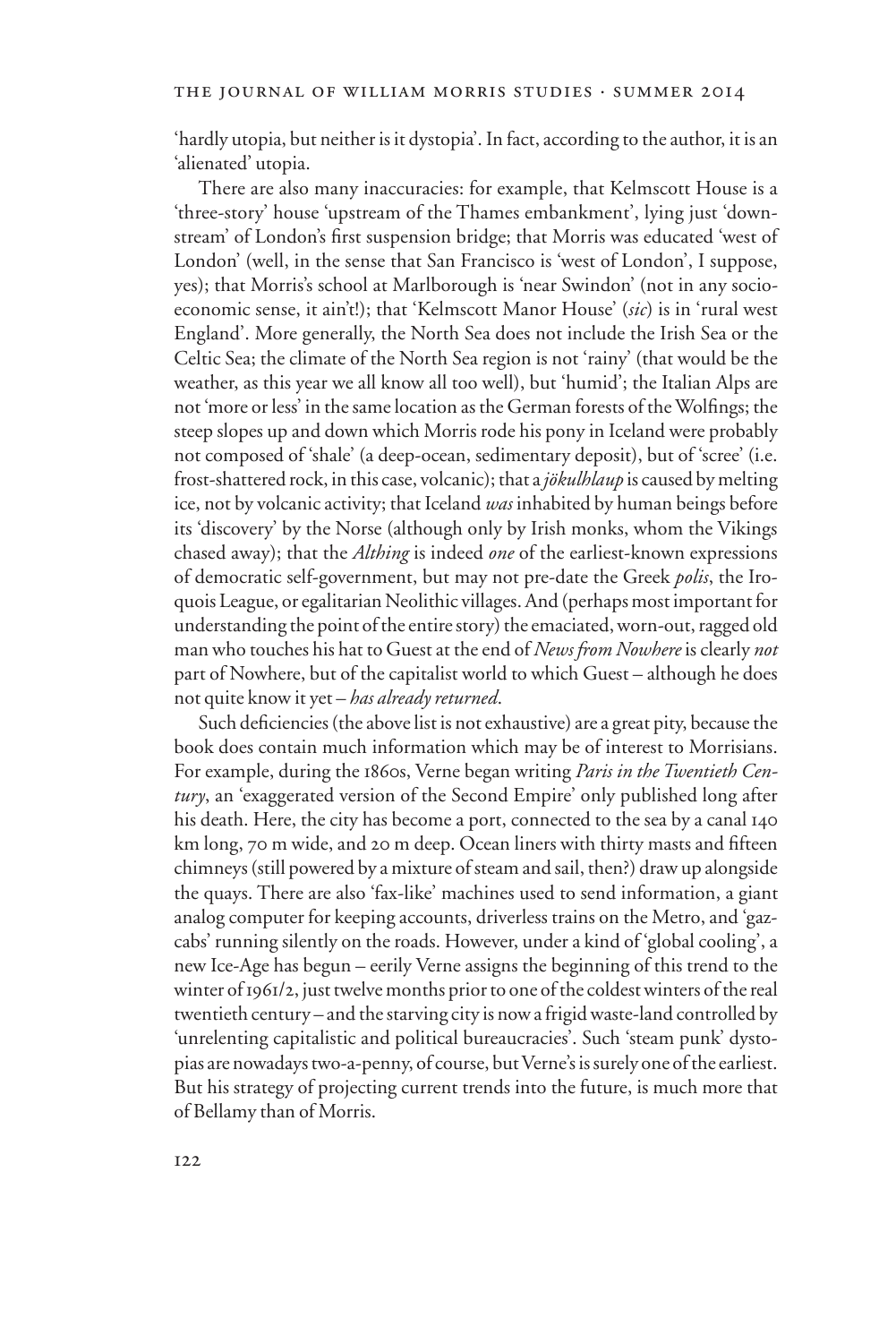'hardly utopia, but neither is it dystopia'. In fact, according to the author, it is an 'alienated' utopia.

There are also many inaccuracies: for example, that Kelmscott House is a 'three-story' house 'upstream of the Thames embankment', lying just 'downstream' of London's first suspension bridge; that Morris was educated 'west of London' (well, in the sense that San Francisco is 'west of London', I suppose, yes); that Morris's school at Marlborough is 'near Swindon' (not in any socioeconomic sense, it ain't!); that 'Kelmscott Manor House' (*sic*) is in 'rural west England'. More generally, the North Sea does not include the Irish Sea or the Celtic Sea; the climate of the North Sea region is not 'rainy' (that would be the weather, as this year we all know all too well), but 'humid'; the Italian Alps are not 'more or less' in the same location as the German forests of the Wolfings; the steep slopes up and down which Morris rode his pony in Iceland were probably not composed of 'shale' (a deep-ocean, sedimentary deposit), but of 'scree' (i.e. frost-shattered rock, in this case, volcanic); that a *jökulhlaup* is caused by melting ice, not by volcanic activity; that Iceland *was* inhabited by human beings before its 'discovery' by the Norse (although only by Irish monks, whom the Vikings chased away); that the *Althing* is indeed *one* of the earliest-known expressions of democratic self-government, but may not pre-date the Greek *polis*, the Iroquois League, or egalitarian Neolithic villages. And (perhaps most important for understanding the point of the entire story) the emaciated, worn-out, ragged old man who touches his hat to Guest at the end of *News from Nowhere* is clearly *not* part of Nowhere, but of the capitalist world to which Guest – although he does not quite know it yet – *has already returned*.

Such deficiencies (the above list is not exhaustive) are a great pity, because the book does contain much information which may be of interest to Morrisians. For example, during the 1860s, Verne began writing *Paris in the Twentieth Century*, an 'exaggerated version of the Second Empire' only published long after his death. Here, the city has become a port, connected to the sea by a canal 140 km long, 70 m wide, and 20 m deep. Ocean liners with thirty masts and fifteen chimneys (still powered by a mixture of steam and sail, then?) draw up alongside the quays. There are also 'fax-like' machines used to send information, a giant analog computer for keeping accounts, driverless trains on the Metro, and 'gazcabs' running silently on the roads. However, under a kind of 'global cooling', a new Ice-Age has begun – eerily Verne assigns the beginning of this trend to the winter of 1961/2, just twelve months prior to one of the coldest winters of the real twentieth century – and the starving city is now a frigid waste-land controlled by 'unrelenting capitalistic and political bureaucracies'. Such 'steam punk' dystopias are nowadays two-a-penny, of course, but Verne's is surely one of the earliest. But his strategy of projecting current trends into the future, is much more that of Bellamy than of Morris.